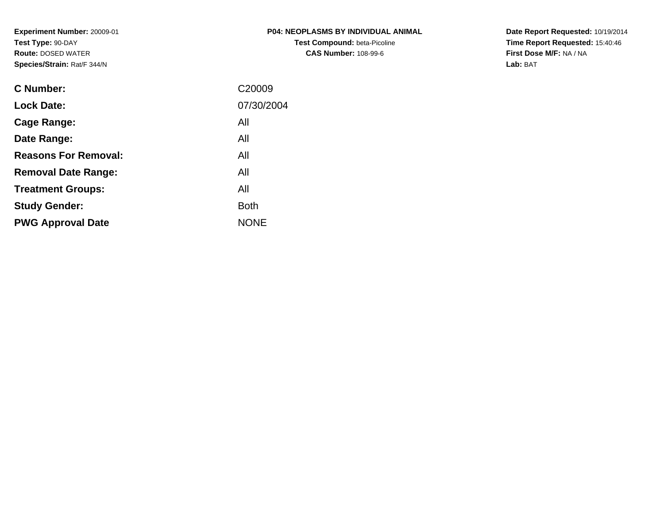**Experiment Number:** 20009-01**Test Type:** 90-DAY **Route:** DOSED WATER**Species/Strain:** Rat/F 344/N

| <b>P04: NEOPLASMS BY INDIVIDUAL ANIMAL</b> |
|--------------------------------------------|
| <b>Test Compound: beta-Picoline</b>        |
| <b>CAS Number: 108-99-6</b>                |

**Date Report Requested:** 10/19/2014 **Time Report Requested:** 15:40:46**First Dose M/F:** NA / NA**Lab:** BAT

| C Number:                   | C <sub>20009</sub> |
|-----------------------------|--------------------|
| <b>Lock Date:</b>           | 07/30/2004         |
| Cage Range:                 | All                |
| Date Range:                 | All                |
| <b>Reasons For Removal:</b> | All                |
| <b>Removal Date Range:</b>  | All                |
| <b>Treatment Groups:</b>    | All                |
| <b>Study Gender:</b>        | <b>Both</b>        |
| <b>PWG Approval Date</b>    | <b>NONE</b>        |
|                             |                    |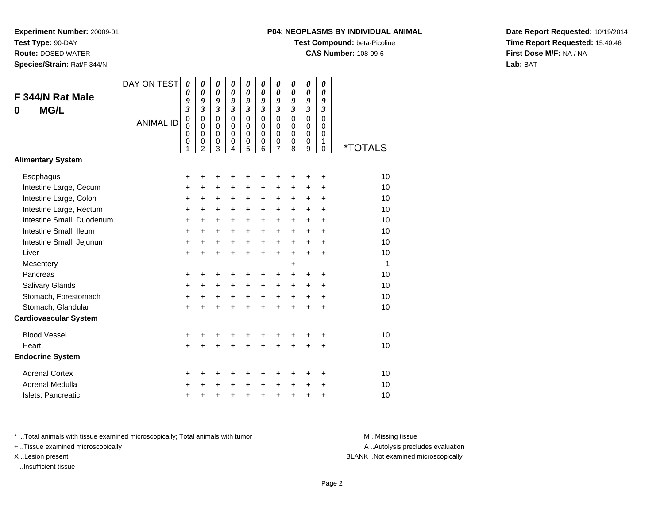**Route:** DOSED WATER

**Species/Strain:** Rat/F 344/N

# **P04: NEOPLASMS BY INDIVIDUAL ANIMAL**

**Test Compound:** beta-Picoline

**CAS Number:** 108-99-6

**Date Report Requested:** 10/19/2014**Time Report Requested:** 15:40:46**First Dose M/F:** NA / NA**Lab:** BAT

| F 344/N Rat Male<br><b>MG/L</b><br>0 | DAY ON TEST<br><b>ANIMAL ID</b> | $\boldsymbol{\theta}$<br>0<br>9<br>$\overline{\mathbf{3}}$<br>$\mathbf 0$<br>0<br>0<br>0<br>1 | 0<br>$\boldsymbol{\theta}$<br>9<br>$\mathfrak{z}$<br>$\mathbf 0$<br>$\mathbf 0$<br>$\mathbf 0$<br>$\mathbf 0$<br>$\overline{2}$ | 0<br>$\boldsymbol{\theta}$<br>9<br>$\mathfrak{z}$<br>$\mathbf 0$<br>0<br>$\pmb{0}$<br>$\mathbf 0$<br>3 | 0<br>0<br>9<br>$\mathfrak{z}$<br>$\mathbf 0$<br>$\mathbf 0$<br>$\mathbf 0$<br>$\mathbf 0$<br>4 | 0<br>0<br>9<br>$\boldsymbol{\mathfrak{z}}$<br>$\mathbf 0$<br>$\mathbf 0$<br>$\mathbf 0$<br>0<br>5 | 0<br>0<br>9<br>$\boldsymbol{\beta}$<br>$\Omega$<br>$\Omega$<br>$\Omega$<br>$\mathbf 0$<br>6 | 0<br>$\boldsymbol{\theta}$<br>9<br>$\boldsymbol{\beta}$<br>$\mathbf 0$<br>0<br>$\mathbf 0$<br>$\mathbf 0$<br>7 | 0<br>0<br>9<br>$\mathfrak{z}$<br>$\Omega$<br>$\Omega$<br>$\mathbf 0$<br>$\mathbf 0$<br>8 | 0<br>0<br>9<br>$\overline{\mathbf{3}}$<br>$\overline{0}$<br>0<br>$\mathbf 0$<br>0<br>9 | 0<br>0<br>9<br>$\boldsymbol{\mathfrak{z}}$<br>$\mathbf 0$<br>$\Omega$<br>$\Omega$<br>1<br>$\mathbf 0$ | <i><b>*TOTALS</b></i> |
|--------------------------------------|---------------------------------|-----------------------------------------------------------------------------------------------|---------------------------------------------------------------------------------------------------------------------------------|--------------------------------------------------------------------------------------------------------|------------------------------------------------------------------------------------------------|---------------------------------------------------------------------------------------------------|---------------------------------------------------------------------------------------------|----------------------------------------------------------------------------------------------------------------|------------------------------------------------------------------------------------------|----------------------------------------------------------------------------------------|-------------------------------------------------------------------------------------------------------|-----------------------|
| <b>Alimentary System</b>             |                                 |                                                                                               |                                                                                                                                 |                                                                                                        |                                                                                                |                                                                                                   |                                                                                             |                                                                                                                |                                                                                          |                                                                                        |                                                                                                       |                       |
| Esophagus                            |                                 | +                                                                                             | +                                                                                                                               | +                                                                                                      | +                                                                                              | +                                                                                                 | +                                                                                           | +                                                                                                              |                                                                                          | +                                                                                      | +                                                                                                     | 10                    |
| Intestine Large, Cecum               |                                 | +                                                                                             | +                                                                                                                               | $\ddot{}$                                                                                              | +                                                                                              | +                                                                                                 | +                                                                                           | +                                                                                                              | +                                                                                        | +                                                                                      | +                                                                                                     | 10                    |
| Intestine Large, Colon               |                                 | $\ddot{}$                                                                                     | +                                                                                                                               | $\ddot{}$                                                                                              | $\ddot{}$                                                                                      | $\ddot{}$                                                                                         | +                                                                                           | $\ddot{}$                                                                                                      | $\ddot{}$                                                                                | $\ddot{}$                                                                              | $\ddot{}$                                                                                             | 10                    |
| Intestine Large, Rectum              |                                 | +                                                                                             | $\ddot{}$                                                                                                                       | $\ddot{}$                                                                                              | $\ddot{}$                                                                                      | $\ddot{}$                                                                                         | $\ddot{}$                                                                                   | $\ddot{}$                                                                                                      | $\ddot{}$                                                                                | $\ddot{}$                                                                              | +                                                                                                     | 10                    |
| Intestine Small, Duodenum            |                                 | $\ddot{}$                                                                                     | $\ddot{}$                                                                                                                       | $\ddot{}$                                                                                              | $\ddot{}$                                                                                      | $\ddot{}$                                                                                         | $\ddot{}$                                                                                   | $\ddot{}$                                                                                                      | $\ddot{}$                                                                                | $+$                                                                                    | $\ddot{}$                                                                                             | 10                    |
| Intestine Small, Ileum               |                                 | +                                                                                             | +                                                                                                                               | $\ddot{}$                                                                                              | $\ddot{}$                                                                                      | +                                                                                                 | +                                                                                           | +                                                                                                              | +                                                                                        | +                                                                                      | +                                                                                                     | 10                    |
| Intestine Small, Jejunum             |                                 | +                                                                                             | +                                                                                                                               | $\ddot{}$                                                                                              | $\ddot{}$                                                                                      | $\ddot{}$                                                                                         | $\ddot{}$                                                                                   | $\ddot{}$                                                                                                      | $\ddot{}$                                                                                | $\ddot{}$                                                                              | $\ddot{}$                                                                                             | 10                    |
| Liver                                |                                 | $\ddot{}$                                                                                     | $\ddot{}$                                                                                                                       | $\ddot{}$                                                                                              | $\ddot{}$                                                                                      | $\ddot{}$                                                                                         | $\ddot{}$                                                                                   | $\ddot{}$                                                                                                      | $\ddot{}$                                                                                | $\ddot{}$                                                                              | $\ddot{}$                                                                                             | 10                    |
| Mesentery                            |                                 |                                                                                               |                                                                                                                                 |                                                                                                        |                                                                                                |                                                                                                   |                                                                                             |                                                                                                                | +                                                                                        |                                                                                        |                                                                                                       | 1                     |
| Pancreas                             |                                 | +                                                                                             | +                                                                                                                               | +                                                                                                      | +                                                                                              | +                                                                                                 | +                                                                                           | +                                                                                                              | +                                                                                        | +                                                                                      | +                                                                                                     | 10                    |
| <b>Salivary Glands</b>               |                                 | $\ddot{}$                                                                                     | $\ddot{}$                                                                                                                       | $\ddot{}$                                                                                              | $\ddot{}$                                                                                      | $\ddot{}$                                                                                         | $\ddot{}$                                                                                   | $\ddot{}$                                                                                                      | $\ddot{}$                                                                                | $\ddot{}$                                                                              | $\ddot{}$                                                                                             | 10                    |
| Stomach, Forestomach                 |                                 | +                                                                                             | $\ddot{}$                                                                                                                       | $\ddot{}$                                                                                              | $\ddot{}$                                                                                      | $+$                                                                                               | $\ddot{}$                                                                                   | $\ddot{}$                                                                                                      | $\ddot{}$                                                                                | $\ddot{}$                                                                              | $\ddot{}$                                                                                             | 10                    |
| Stomach, Glandular                   |                                 | $\ddot{}$                                                                                     |                                                                                                                                 |                                                                                                        |                                                                                                | $\ddot{}$                                                                                         | $\ddot{}$                                                                                   | $\ddot{}$                                                                                                      | $\ddot{}$                                                                                | $\ddot{}$                                                                              | $\ddot{}$                                                                                             | 10                    |
| <b>Cardiovascular System</b>         |                                 |                                                                                               |                                                                                                                                 |                                                                                                        |                                                                                                |                                                                                                   |                                                                                             |                                                                                                                |                                                                                          |                                                                                        |                                                                                                       |                       |
| <b>Blood Vessel</b>                  |                                 | +                                                                                             | +                                                                                                                               | +                                                                                                      | +                                                                                              | +                                                                                                 | +                                                                                           | +                                                                                                              | +                                                                                        | +                                                                                      | +                                                                                                     | 10                    |
| Heart                                |                                 | $\ddot{}$                                                                                     |                                                                                                                                 |                                                                                                        |                                                                                                | $\ddot{}$                                                                                         | $\ddot{}$                                                                                   | $\ddot{}$                                                                                                      | ÷                                                                                        | +                                                                                      | $\ddot{}$                                                                                             | 10                    |
| <b>Endocrine System</b>              |                                 |                                                                                               |                                                                                                                                 |                                                                                                        |                                                                                                |                                                                                                   |                                                                                             |                                                                                                                |                                                                                          |                                                                                        |                                                                                                       |                       |
| <b>Adrenal Cortex</b>                |                                 | +                                                                                             | +                                                                                                                               | +                                                                                                      | +                                                                                              | +                                                                                                 | +                                                                                           | +                                                                                                              | ٠                                                                                        | ٠                                                                                      | +                                                                                                     | 10                    |
| Adrenal Medulla                      |                                 | +                                                                                             |                                                                                                                                 |                                                                                                        |                                                                                                | $\ddot{}$                                                                                         | $\ddot{}$                                                                                   | $\ddot{}$                                                                                                      | $\ddot{}$                                                                                | $\ddot{}$                                                                              | +                                                                                                     | 10                    |
| Islets, Pancreatic                   |                                 | +                                                                                             | +                                                                                                                               | +                                                                                                      | +                                                                                              | +                                                                                                 | $\ddot{}$                                                                                   | +                                                                                                              | $\ddot{}$                                                                                | +                                                                                      | +                                                                                                     | 10                    |

\* ..Total animals with tissue examined microscopically; Total animals with tumor **M** . Missing tissue M ..Missing tissue

+ ..Tissue examined microscopically

I ..Insufficient tissue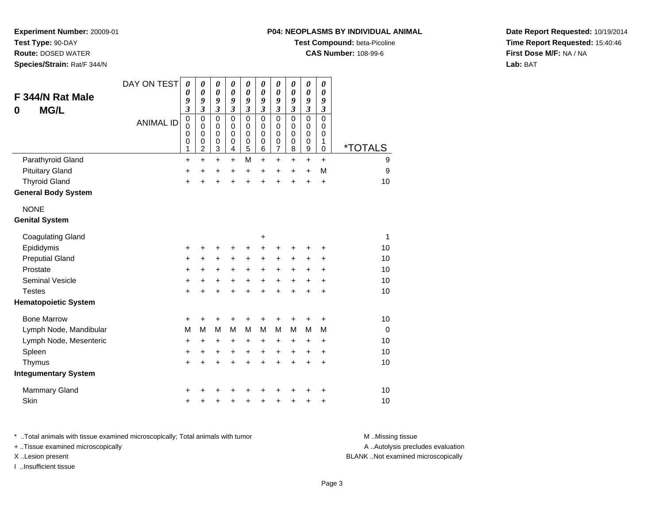**Test Type:** 90-DAY

**Route:** DOSED WATER

**Species/Strain:** Rat/F 344/N

#### **P04: NEOPLASMS BY INDIVIDUAL ANIMAL**

**Test Compound:** beta-Picoline

**CAS Number:** 108-99-6

**Date Report Requested:** 10/19/2014**Time Report Requested:** 15:40:46**First Dose M/F:** NA / NA**Lab:** BAT

| F 344/N Rat Male<br><b>MG/L</b><br>0 | DAY ON TEST      | 0<br>0<br>9<br>$\overline{\mathbf{3}}$    | 0<br>$\boldsymbol{\theta}$<br>9<br>$\overline{\mathbf{3}}$       | 0<br>$\boldsymbol{\theta}$<br>9<br>$\overline{\mathbf{3}}$ | 0<br>$\boldsymbol{\theta}$<br>9<br>$\overline{\mathbf{3}}$ | $\boldsymbol{\theta}$<br>$\boldsymbol{\theta}$<br>9<br>$\mathfrak{z}$ | $\boldsymbol{\theta}$<br>$\boldsymbol{\theta}$<br>9<br>$\overline{\mathbf{3}}$ | $\boldsymbol{\theta}$<br>$\boldsymbol{\theta}$<br>9<br>$\mathfrak{z}$ | 0<br>$\boldsymbol{\theta}$<br>9<br>$\mathfrak{z}$ | $\boldsymbol{\theta}$<br>$\boldsymbol{\theta}$<br>9<br>$\mathfrak{z}$ | $\boldsymbol{\theta}$<br>$\boldsymbol{\theta}$<br>9<br>$\mathfrak{z}$ |                       |
|--------------------------------------|------------------|-------------------------------------------|------------------------------------------------------------------|------------------------------------------------------------|------------------------------------------------------------|-----------------------------------------------------------------------|--------------------------------------------------------------------------------|-----------------------------------------------------------------------|---------------------------------------------------|-----------------------------------------------------------------------|-----------------------------------------------------------------------|-----------------------|
|                                      | <b>ANIMAL ID</b> | $\mathbf 0$<br>$\mathbf 0$<br>0<br>0<br>1 | $\mathbf 0$<br>$\mathbf 0$<br>$\mathbf 0$<br>0<br>$\overline{c}$ | $\mathbf 0$<br>0<br>0<br>0<br>3                            | $\mathbf 0$<br>$\mathbf 0$<br>$\pmb{0}$<br>0<br>4          | $\mathbf 0$<br>$\mathbf 0$<br>$\pmb{0}$<br>$\mathbf 0$<br>5           | $\mathbf 0$<br>$\mathbf 0$<br>$\mathbf 0$<br>0<br>6                            | $\pmb{0}$<br>0<br>$\mathbf 0$<br>$\mathbf 0$<br>7                     | $\mathbf 0$<br>0<br>$\mathbf 0$<br>0<br>8         | $\mathbf 0$<br>0<br>0<br>0<br>$\boldsymbol{9}$                        | $\mathbf 0$<br>0<br>$\mathbf 0$<br>1<br>$\mathbf 0$                   | <i><b>*TOTALS</b></i> |
| Parathyroid Gland                    |                  | $\ddot{}$                                 | $\ddot{}$                                                        | $\ddot{}$                                                  | $\ddot{}$                                                  | M                                                                     | $\ddot{}$                                                                      | $\ddot{}$                                                             | $\ddot{}$                                         | $\ddot{}$                                                             | $\ddot{}$                                                             | 9                     |
| <b>Pituitary Gland</b>               |                  | +                                         | $\ddot{}$                                                        | +                                                          | $\ddot{}$                                                  | +                                                                     | $\ddot{}$                                                                      | $\ddot{}$                                                             | $\ddot{}$                                         | $\ddot{}$                                                             | M                                                                     | 9                     |
| <b>Thyroid Gland</b>                 |                  | +                                         | +                                                                | +                                                          | +                                                          | $\ddot{}$                                                             | $\ddot{}$                                                                      | $\ddot{}$                                                             | ÷                                                 | $\ddot{}$                                                             | +                                                                     | 10                    |
| <b>General Body System</b>           |                  |                                           |                                                                  |                                                            |                                                            |                                                                       |                                                                                |                                                                       |                                                   |                                                                       |                                                                       |                       |
| <b>NONE</b>                          |                  |                                           |                                                                  |                                                            |                                                            |                                                                       |                                                                                |                                                                       |                                                   |                                                                       |                                                                       |                       |
| <b>Genital System</b>                |                  |                                           |                                                                  |                                                            |                                                            |                                                                       |                                                                                |                                                                       |                                                   |                                                                       |                                                                       |                       |
| <b>Coagulating Gland</b>             |                  |                                           |                                                                  |                                                            |                                                            |                                                                       | +                                                                              |                                                                       |                                                   |                                                                       |                                                                       | 1                     |
| Epididymis                           |                  | +                                         | +                                                                | +                                                          | +                                                          | +                                                                     | +                                                                              | +                                                                     |                                                   | +                                                                     | +                                                                     | 10                    |
| <b>Preputial Gland</b>               |                  | +                                         | +                                                                | +                                                          | +                                                          | +                                                                     | +                                                                              | +                                                                     | +                                                 | +                                                                     | +                                                                     | 10                    |
| Prostate                             |                  | +                                         | +                                                                | +                                                          | +                                                          | $\ddot{}$                                                             | +                                                                              | $\ddot{}$                                                             | +                                                 | +                                                                     | +                                                                     | 10                    |
| <b>Seminal Vesicle</b>               |                  | +                                         | $\ddot{}$                                                        | +                                                          | $\ddot{}$                                                  | $\ddot{}$                                                             | $\ddot{}$                                                                      | $\ddot{}$                                                             | $\ddot{}$                                         | $\ddot{}$                                                             | $\ddot{}$                                                             | 10                    |
| <b>Testes</b>                        |                  | +                                         | $\pm$                                                            | +                                                          | $\ddot{}$                                                  | $\ddot{}$                                                             | $\ddot{}$                                                                      | $\ddot{}$                                                             | $\ddot{}$                                         | $\ddot{}$                                                             | $\ddot{}$                                                             | 10                    |
| <b>Hematopoietic System</b>          |                  |                                           |                                                                  |                                                            |                                                            |                                                                       |                                                                                |                                                                       |                                                   |                                                                       |                                                                       |                       |
| <b>Bone Marrow</b>                   |                  | +                                         | +                                                                | +                                                          | +                                                          | +                                                                     | +                                                                              | +                                                                     |                                                   | +                                                                     | +                                                                     | 10                    |
| Lymph Node, Mandibular               |                  | M                                         | M                                                                | M                                                          | M                                                          | M                                                                     | M                                                                              | M                                                                     | м                                                 | M                                                                     | M                                                                     | $\Omega$              |
| Lymph Node, Mesenteric               |                  | $\ddot{}$                                 | $\ddot{}$                                                        | $\ddot{}$                                                  | $\ddot{}$                                                  | $\ddot{}$                                                             | +                                                                              | $\ddot{}$                                                             | +                                                 | $\ddot{}$                                                             | $\ddot{}$                                                             | 10                    |
| Spleen                               |                  | +                                         | +                                                                | $\ddot{}$                                                  | $\ddot{}$                                                  | $\ddot{}$                                                             | $\ddot{}$                                                                      | $\ddot{}$                                                             | $\ddot{}$                                         | $\ddot{}$                                                             | $\ddot{}$                                                             | 10                    |
| Thymus                               |                  | +                                         | $\ddot{}$                                                        | $\ddot{}$                                                  | $\ddot{}$                                                  | $\ddot{}$                                                             | $\ddot{}$                                                                      | $\ddot{}$                                                             | $\ddot{}$                                         | $\ddot{}$                                                             | $\ddot{}$                                                             | 10                    |
| <b>Integumentary System</b>          |                  |                                           |                                                                  |                                                            |                                                            |                                                                       |                                                                                |                                                                       |                                                   |                                                                       |                                                                       |                       |
| Mammary Gland                        |                  | +                                         |                                                                  |                                                            |                                                            |                                                                       |                                                                                |                                                                       |                                                   |                                                                       | +                                                                     | 10                    |
| Skin                                 |                  | +                                         |                                                                  | +                                                          | +                                                          | +                                                                     | +                                                                              | +                                                                     |                                                   | +                                                                     | +                                                                     | 10                    |

\* ..Total animals with tissue examined microscopically; Total animals with tumor **M** . Missing tissue M ..Missing tissue A ..Autolysis precludes evaluation + ..Tissue examined microscopically X ..Lesion present BLANK ..Not examined microscopicallyI ..Insufficient tissue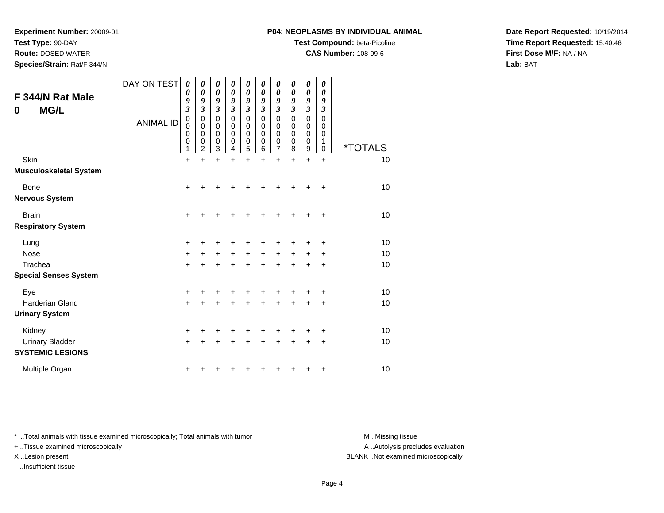**Test Type:** 90-DAY

**Route:** DOSED WATER

**Species/Strain:** Rat/F 344/N

#### **P04: NEOPLASMS BY INDIVIDUAL ANIMAL**

**Test Compound:** beta-Picoline

**CAS Number:** 108-99-6

**Date Report Requested:** 10/19/2014**Time Report Requested:** 15:40:46**First Dose M/F:** NA / NA**Lab:** BAT

| F 344/N Rat Male<br><b>MG/L</b><br>0              | DAY ON TEST<br><b>ANIMAL ID</b> | 0<br>0<br>9<br>$\overline{\mathbf{3}}$<br>$\mathbf 0$<br>0<br>0<br>0<br>1 | 0<br>$\boldsymbol{\theta}$<br>9<br>3<br>$\mathbf 0$<br>$\mathbf 0$<br>0<br>0<br>$\overline{2}$ | 0<br>0<br>9<br>3<br>$\mathbf 0$<br>0<br>0<br>0<br>3 | 0<br>$\boldsymbol{\theta}$<br>9<br>3<br>$\mathbf 0$<br>0<br>0<br>0<br>4 | 0<br>$\boldsymbol{\theta}$<br>9<br>3<br>$\mathbf 0$<br>0<br>0<br>0<br>5 | 0<br>0<br>9<br>3<br>$\mathbf 0$<br>0<br>0<br>0<br>6 | 0<br>0<br>9<br>3<br>$\mathsf 0$<br>0<br>0<br>0<br>7 | 0<br>0<br>9<br>3<br>0<br>0<br>0<br>0<br>8 | 0<br>0<br>9<br>3<br>$\mathsf 0$<br>0<br>0<br>0<br>9 | 0<br>0<br>9<br>3<br>$\Omega$<br>0<br>0<br>1<br>0 | <i><b>*TOTALS</b></i> |
|---------------------------------------------------|---------------------------------|---------------------------------------------------------------------------|------------------------------------------------------------------------------------------------|-----------------------------------------------------|-------------------------------------------------------------------------|-------------------------------------------------------------------------|-----------------------------------------------------|-----------------------------------------------------|-------------------------------------------|-----------------------------------------------------|--------------------------------------------------|-----------------------|
| Skin                                              |                                 | $+$                                                                       | $\ddot{}$                                                                                      | $\ddot{}$                                           | $+$                                                                     | $\ddot{}$                                                               | $\ddot{}$                                           | $\ddot{}$                                           | $\ddot{}$                                 | $\ddot{}$                                           | $\ddot{}$                                        | 10                    |
| <b>Musculoskeletal System</b>                     |                                 |                                                                           |                                                                                                |                                                     |                                                                         |                                                                         |                                                     |                                                     |                                           |                                                     |                                                  |                       |
| <b>Bone</b>                                       |                                 | +                                                                         |                                                                                                | +                                                   |                                                                         | +                                                                       |                                                     |                                                     |                                           |                                                     | ٠                                                | 10                    |
| <b>Nervous System</b>                             |                                 |                                                                           |                                                                                                |                                                     |                                                                         |                                                                         |                                                     |                                                     |                                           |                                                     |                                                  |                       |
| <b>Brain</b>                                      |                                 | +                                                                         | +                                                                                              | +                                                   | +                                                                       | +                                                                       |                                                     | +                                                   | +                                         | ٠                                                   | ÷                                                | 10                    |
| <b>Respiratory System</b>                         |                                 |                                                                           |                                                                                                |                                                     |                                                                         |                                                                         |                                                     |                                                     |                                           |                                                     |                                                  |                       |
| Lung                                              |                                 | +                                                                         | +                                                                                              | +                                                   | +                                                                       | +                                                                       | +                                                   | ٠                                                   | ٠                                         | ٠                                                   | +                                                | 10                    |
| <b>Nose</b>                                       |                                 | +                                                                         | $\ddot{}$                                                                                      | $\ddot{}$                                           | $\ddot{}$                                                               | $\ddot{}$                                                               | $\ddot{}$                                           | $\ddot{}$                                           | $\ddot{}$                                 | $\ddot{}$                                           | +                                                | 10                    |
| Trachea                                           |                                 | $\ddot{}$                                                                 |                                                                                                | $\ddot{}$                                           | $\ddot{}$                                                               | $\ddot{}$                                                               | +                                                   | $\ddot{}$                                           | $\ddot{}$                                 | ÷                                                   | +                                                | 10                    |
| <b>Special Senses System</b>                      |                                 |                                                                           |                                                                                                |                                                     |                                                                         |                                                                         |                                                     |                                                     |                                           |                                                     |                                                  |                       |
| Eye                                               |                                 | +                                                                         | +                                                                                              | +                                                   |                                                                         | +                                                                       |                                                     |                                                     |                                           |                                                     | +                                                | 10                    |
| Harderian Gland                                   |                                 | $\ddot{}$                                                                 | +                                                                                              | $\ddot{}$                                           | $\ddot{}$                                                               | $\ddot{}$                                                               | $\ddot{}$                                           | $\ddot{}$                                           | $\ddot{}$                                 | $\ddot{}$                                           | +                                                | 10                    |
| <b>Urinary System</b>                             |                                 |                                                                           |                                                                                                |                                                     |                                                                         |                                                                         |                                                     |                                                     |                                           |                                                     |                                                  |                       |
| Kidney                                            |                                 | +                                                                         | +                                                                                              | +                                                   | +                                                                       | +                                                                       |                                                     | +                                                   |                                           |                                                     | +                                                | 10                    |
| <b>Urinary Bladder</b><br><b>SYSTEMIC LESIONS</b> |                                 | +                                                                         |                                                                                                | +                                                   | +                                                                       | +                                                                       | +                                                   | +                                                   | +                                         | ٠                                                   | +                                                | 10                    |
| Multiple Organ                                    |                                 | +                                                                         |                                                                                                |                                                     |                                                                         | ٠                                                                       |                                                     |                                                     |                                           | ٠                                                   | +                                                | 10                    |

\* ..Total animals with tissue examined microscopically; Total animals with tumor **M** . Missing tissue M ..Missing tissue

+ ..Tissue examined microscopically

I ..Insufficient tissue

A ..Autolysis precludes evaluation

X ..Lesion present BLANK ..Not examined microscopically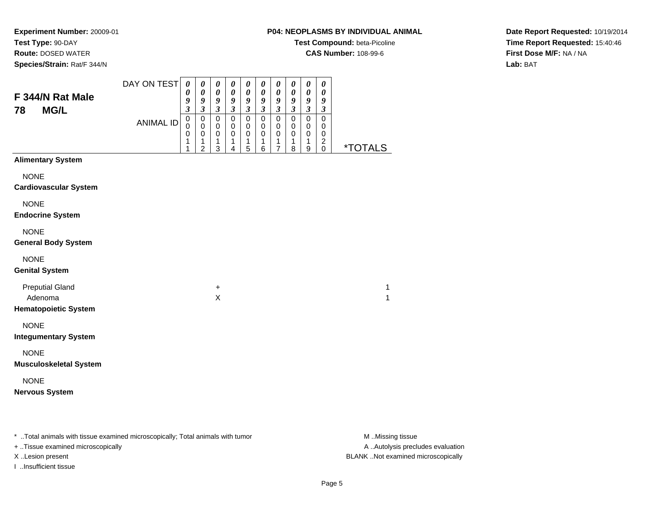**Experiment Number:** 20009-01**Test Type:** 90-DAY**Route:** DOSED WATER

**Species/Strain:** Rat/F 344/N

## **P04: NEOPLASMS BY INDIVIDUAL ANIMAL**

**Test Compound:** beta-Picoline

**CAS Number:** 108-99-6

**Date Report Requested:** 10/19/2014**Time Report Requested:** 15:40:46**First Dose M/F:** NA / NA**Lab:** BAT

| F 344/N Rat Male                                                 | DAY ON TEST      | $\boldsymbol{\theta}$<br>0<br>9                                      | $\pmb{\theta}$<br>$\boldsymbol{\theta}$<br>9                             | $\boldsymbol{\theta}$<br>0<br>9                                                | $\boldsymbol{\theta}$<br>0<br>9                                   | $\boldsymbol{\theta}$<br>$\boldsymbol{\theta}$<br>9         | $\pmb{\theta}$<br>$\boldsymbol{\theta}$<br>9                       | $\pmb{\theta}$<br>$\boldsymbol{\theta}$<br>9                                       | $\boldsymbol{\theta}$<br>0<br>9                             | $\boldsymbol{\theta}$<br>$\boldsymbol{\theta}$<br>9         | $\boldsymbol{\theta}$<br>0<br>9                                      |                       |
|------------------------------------------------------------------|------------------|----------------------------------------------------------------------|--------------------------------------------------------------------------|--------------------------------------------------------------------------------|-------------------------------------------------------------------|-------------------------------------------------------------|--------------------------------------------------------------------|------------------------------------------------------------------------------------|-------------------------------------------------------------|-------------------------------------------------------------|----------------------------------------------------------------------|-----------------------|
| <b>MG/L</b><br>78                                                | <b>ANIMAL ID</b> | $\overline{\mathbf{3}}$<br>$\mathbf 0$<br>$\mathbf 0$<br>0<br>1<br>1 | $\mathfrak{z}$<br>$\mathbf 0$<br>0<br>$\mathbf 0$<br>1<br>$\overline{2}$ | $\overline{\mathbf{3}}$<br>$\mathbf 0$<br>$\mathbf 0$<br>$\mathbf 0$<br>1<br>3 | $\mathfrak{z}$<br>$\mathbf 0$<br>$\pmb{0}$<br>$\pmb{0}$<br>1<br>4 | $\mathfrak{z}$<br>$\mathsf 0$<br>$\mathbf 0$<br>0<br>1<br>5 | $\overline{\mathbf{3}}$<br>$\mathbf 0$<br>$\pmb{0}$<br>0<br>1<br>6 | $\mathfrak{z}$<br>$\mathbf 0$<br>$\mathbf 0$<br>$\mathbf 0$<br>1<br>$\overline{7}$ | $\mathfrak{z}$<br>$\mathbf 0$<br>0<br>$\mathbf 0$<br>1<br>8 | $\mathfrak{z}$<br>$\mathsf 0$<br>0<br>$\mathbf 0$<br>1<br>9 | $\boldsymbol{\beta}$<br>$\mathsf 0$<br>0<br>0<br>$\overline{c}$<br>0 | <i><b>*TOTALS</b></i> |
| <b>Alimentary System</b>                                         |                  |                                                                      |                                                                          |                                                                                |                                                                   |                                                             |                                                                    |                                                                                    |                                                             |                                                             |                                                                      |                       |
| <b>NONE</b><br><b>Cardiovascular System</b>                      |                  |                                                                      |                                                                          |                                                                                |                                                                   |                                                             |                                                                    |                                                                                    |                                                             |                                                             |                                                                      |                       |
| <b>NONE</b><br><b>Endocrine System</b>                           |                  |                                                                      |                                                                          |                                                                                |                                                                   |                                                             |                                                                    |                                                                                    |                                                             |                                                             |                                                                      |                       |
| <b>NONE</b><br><b>General Body System</b>                        |                  |                                                                      |                                                                          |                                                                                |                                                                   |                                                             |                                                                    |                                                                                    |                                                             |                                                             |                                                                      |                       |
| <b>NONE</b><br><b>Genital System</b>                             |                  |                                                                      |                                                                          |                                                                                |                                                                   |                                                             |                                                                    |                                                                                    |                                                             |                                                             |                                                                      |                       |
| <b>Preputial Gland</b><br>Adenoma<br><b>Hematopoietic System</b> |                  |                                                                      |                                                                          | $\ddot{}$<br>X                                                                 |                                                                   |                                                             |                                                                    |                                                                                    |                                                             |                                                             |                                                                      | 1<br>1                |
| <b>NONE</b><br><b>Integumentary System</b>                       |                  |                                                                      |                                                                          |                                                                                |                                                                   |                                                             |                                                                    |                                                                                    |                                                             |                                                             |                                                                      |                       |
| <b>NONE</b><br><b>Musculoskeletal System</b>                     |                  |                                                                      |                                                                          |                                                                                |                                                                   |                                                             |                                                                    |                                                                                    |                                                             |                                                             |                                                                      |                       |
| <b>NONE</b><br><b>Nervous System</b>                             |                  |                                                                      |                                                                          |                                                                                |                                                                   |                                                             |                                                                    |                                                                                    |                                                             |                                                             |                                                                      |                       |

\* ..Total animals with tissue examined microscopically; Total animals with tumor **M** . Missing tissue M ..Missing tissue

+ ..Tissue examined microscopically

I ..Insufficient tissue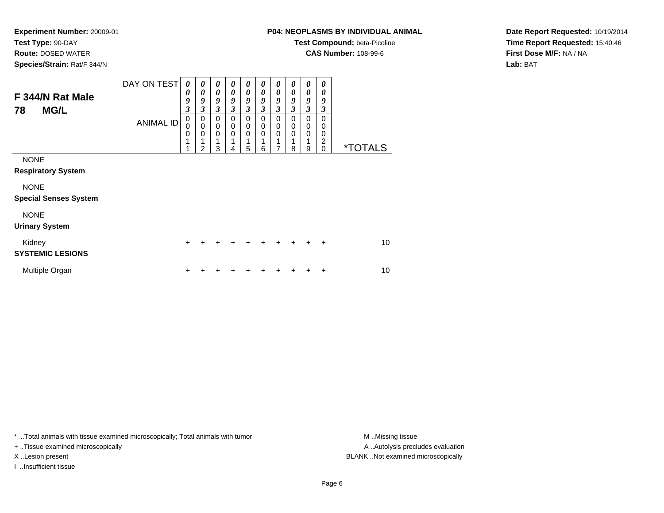**Route:** DOSED WATER

**Species/Strain:** Rat/F 344/N

# **P04: NEOPLASMS BY INDIVIDUAL ANIMAL**

**Test Compound:** beta-Picoline

**CAS Number:** 108-99-6

**Date Report Requested:** 10/19/2014**Time Report Requested:** 15:40:46**First Dose M/F:** NA / NA**Lab:** BAT

| F 344/N Rat Male<br><b>MG/L</b><br>78       | DAY ON TEST<br><b>ANIMAL ID</b> | 0<br>0<br>9<br>$\mathfrak{z}$<br>$\mathbf 0$<br>$\Omega$ | 0<br>$\boldsymbol{\theta}$<br>9<br>$\boldsymbol{\beta}$<br>0<br>$\mathbf 0$ | 0<br>$\boldsymbol{\theta}$<br>$\boldsymbol{g}$<br>3<br>$\Omega$<br>$\mathbf 0$ | 0<br>0<br>9<br>3<br>0<br>$\pmb{0}$ | 0<br>$\boldsymbol{\theta}$<br>$\boldsymbol{g}$<br>$\mathfrak{z}$<br>$\Omega$<br>0 | 0<br>0<br>9<br>$\mathfrak{z}$<br>0<br>$\mathbf 0$ | 0<br>0<br>9<br>$\mathfrak{z}$<br>$\Omega$<br>$\mathbf 0$ | 0<br>0<br>9<br>3<br>$\mathbf 0$<br>$\mathbf 0$ | 0<br>$\boldsymbol{\theta}$<br>9<br>$\overline{\mathbf{3}}$<br>$\Omega$<br>0 | $\boldsymbol{\theta}$<br>0<br>9<br>3<br>$\Omega$<br>0 |                       |
|---------------------------------------------|---------------------------------|----------------------------------------------------------|-----------------------------------------------------------------------------|--------------------------------------------------------------------------------|------------------------------------|-----------------------------------------------------------------------------------|---------------------------------------------------|----------------------------------------------------------|------------------------------------------------|-----------------------------------------------------------------------------|-------------------------------------------------------|-----------------------|
|                                             |                                 | 0                                                        | 0<br>2                                                                      | $\Omega$<br>3                                                                  | 0<br>4                             | $\Omega$<br>5                                                                     | 0<br>6                                            | $\mathbf 0$<br>7                                         | 0<br>8                                         | $\mathbf 0$<br>9                                                            | 0<br>2<br>$\mathbf 0$                                 | <i><b>*TOTALS</b></i> |
| <b>NONE</b><br><b>Respiratory System</b>    |                                 |                                                          |                                                                             |                                                                                |                                    |                                                                                   |                                                   |                                                          |                                                |                                                                             |                                                       |                       |
| <b>NONE</b><br><b>Special Senses System</b> |                                 |                                                          |                                                                             |                                                                                |                                    |                                                                                   |                                                   |                                                          |                                                |                                                                             |                                                       |                       |
| <b>NONE</b><br><b>Urinary System</b>        |                                 |                                                          |                                                                             |                                                                                |                                    |                                                                                   |                                                   |                                                          |                                                |                                                                             |                                                       |                       |
| Kidney<br><b>SYSTEMIC LESIONS</b>           |                                 | $\ddot{}$                                                | ÷                                                                           |                                                                                |                                    | +                                                                                 | ÷                                                 | ÷                                                        | ÷                                              | $\div$                                                                      | $\div$                                                | 10                    |
| Multiple Organ                              |                                 |                                                          |                                                                             |                                                                                |                                    |                                                                                   |                                                   |                                                          |                                                |                                                                             | ÷                                                     | 10                    |

\* ..Total animals with tissue examined microscopically; Total animals with tumor **M** . Missing tissue M ..Missing tissue

+ ..Tissue examined microscopically

I ..Insufficient tissue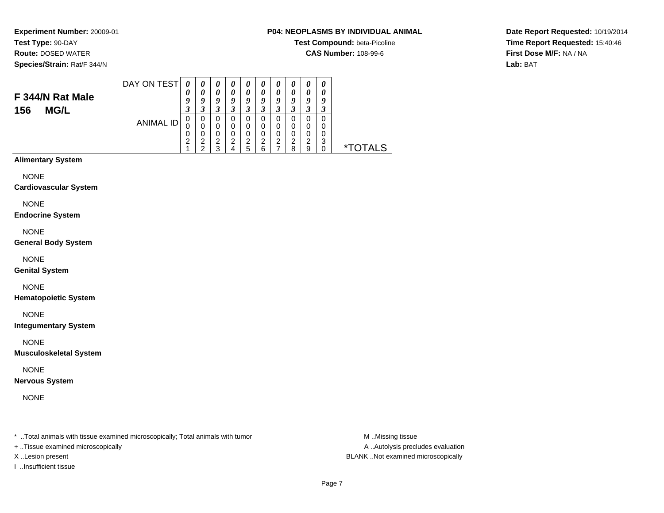# **Route:** DOSED WATER

**Species/Strain:** Rat/F 344/N

# **P04: NEOPLASMS BY INDIVIDUAL ANIMAL**

**Test Compound:** beta-Picoline

**CAS Number:** 108-99-6

**Date Report Requested:** 10/19/2014**Time Report Requested:** 15:40:46**First Dose M/F:** NA / NA**Lab:** BAT

#### DAY ON TEST**F 344/N Rat Male**ANIMAL ID*0 0 9 3* 0 0 0 2 1*0 0 9 3* 0 0 0 2 2*0 0 9 3* 0 0 0 2 3*0 0 9 3* 0 0 0 2 4*0 0 9 3* 0 0 0 2 5*0 0 9 3* 0 0 0 2 6*0 0 9 3* 0 0 0 2 7*0 0 9 3* 0 0 0 2 8*0 0 9 3* 0 0 0 2 9*0 0 9 3* 0 0 03<br>^ 0 \*TOTALS

# **Alimentary System**

**156 MG/L**

NONE

#### **Cardiovascular System**

NONE

#### **Endocrine System**

NONE

#### **General Body System**

NONE

#### **Genital System**

NONE

#### **Hematopoietic System**

NONE

#### **Integumentary System**

NONE

#### **Musculoskeletal System**

NONE

#### **Nervous System**

NONE

\* ..Total animals with tissue examined microscopically; Total animals with tumor **M** ..Missing tissue M ..Missing tissue

+ ..Tissue examined microscopically

I ..Insufficient tissue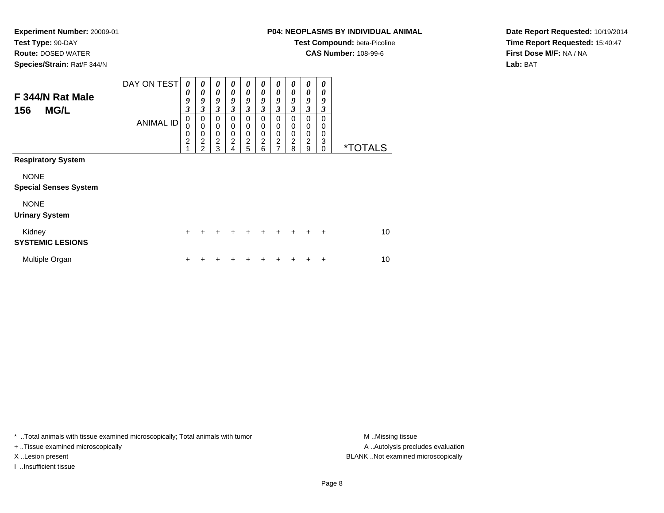**Route:** DOSED WATER

**Species/Strain:** Rat/F 344/N

# **P04: NEOPLASMS BY INDIVIDUAL ANIMAL**

**Test Compound:** beta-Picoline

**CAS Number:** 108-99-6

**Date Report Requested:** 10/19/2014**Time Report Requested:** 15:40:47**First Dose M/F:** NA / NA**Lab:** BAT

| F 344/N Rat Male<br><b>MG/L</b><br>156      | DAY ON TEST<br><b>ANIMAL ID</b> | $\boldsymbol{\theta}$<br>0<br>9<br>3<br>0<br>0<br>0 | 0<br>0<br>9<br>3<br>0<br>$\mathbf 0$<br>$\mathbf 0$ | 0<br>$\boldsymbol{\theta}$<br>9<br>$\mathfrak{z}$<br>0<br>0<br>$\mathbf 0$ | 0<br>$\boldsymbol{\theta}$<br>9<br>3<br>0<br>0<br>$\mathbf 0$ | 0<br>0<br>9<br>$\mathfrak{z}$<br>0<br>0<br>$\pmb{0}$ | 0<br>0<br>9<br>3<br>0<br>0<br>0 | 0<br>0<br>9<br>$\mathfrak{z}$<br>0<br>0<br>0 | 0<br>0<br>9<br>3<br>0<br>0<br>0 | 0<br>0<br>9<br>3<br>0<br>0<br>$\boldsymbol{0}$ | 0<br>0<br>9<br>3<br>0<br>$\Omega$<br>0 |                       |
|---------------------------------------------|---------------------------------|-----------------------------------------------------|-----------------------------------------------------|----------------------------------------------------------------------------|---------------------------------------------------------------|------------------------------------------------------|---------------------------------|----------------------------------------------|---------------------------------|------------------------------------------------|----------------------------------------|-----------------------|
|                                             |                                 | $\overline{2}$<br>4                                 | $\overline{c}$<br>$\overline{2}$                    | $\boldsymbol{2}$<br>3                                                      | $\overline{c}$<br>4                                           | $\overline{c}$<br>5                                  | $\overline{c}$<br>6             | $\overline{2}$<br>7                          | $\overline{c}$<br>8             | $\overline{c}$<br>9                            | 3<br>$\Omega$                          | <i><b>*TOTALS</b></i> |
| <b>Respiratory System</b>                   |                                 |                                                     |                                                     |                                                                            |                                                               |                                                      |                                 |                                              |                                 |                                                |                                        |                       |
| <b>NONE</b><br><b>Special Senses System</b> |                                 |                                                     |                                                     |                                                                            |                                                               |                                                      |                                 |                                              |                                 |                                                |                                        |                       |
| <b>NONE</b><br><b>Urinary System</b>        |                                 |                                                     |                                                     |                                                                            |                                                               |                                                      |                                 |                                              |                                 |                                                |                                        |                       |
| Kidney<br><b>SYSTEMIC LESIONS</b>           |                                 | $\ddot{}$                                           | +                                                   | +                                                                          | ÷                                                             | ٠                                                    | $\div$                          | ٠                                            | $\div$                          | +                                              | $\ddot{}$                              | 10                    |
| Multiple Organ                              |                                 | ٠                                                   |                                                     |                                                                            |                                                               |                                                      |                                 |                                              |                                 |                                                | ٠                                      | 10                    |

\* ..Total animals with tissue examined microscopically; Total animals with tumor **M** . Missing tissue M ..Missing tissue

+ ..Tissue examined microscopically

I ..Insufficient tissue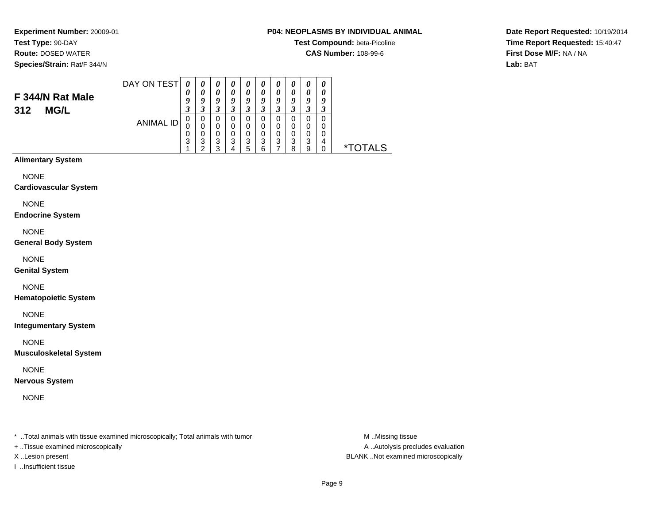# **Route:** DOSED WATER

**Species/Strain:** Rat/F 344/N

## **P04: NEOPLASMS BY INDIVIDUAL ANIMAL**

**Test Compound:** beta-Picoline

**CAS Number:** 108-99-6

**Date Report Requested:** 10/19/2014**Time Report Requested:** 15:40:47**First Dose M/F:** NA / NA**Lab:** BAT

#### DAY ON TEST**F 344/N Rat Male**ANIMAL ID*0 0 9 3* 0 0 0 3 1*0 0 9 3*0<br>0<br>0<br>3<br>2 *0 0 9 3* 0 0 0 3 3*0 0 9 3* 0 0 0 3 4*0 0 9 3* 0 0 0 3 5*0 0 9 3* 0 0 0 3 6*0 0 9 3* 0 0 0 3 7*0 0 9 3*0<br>0<br>0<br>3<br>8 *0 0 9 3*0<br>0<br>0<br>3<br>9 *0 0 9 3* 0 0 0 4 $\dot{o}$ 0 \*TOTALS

#### **Alimentary System**

**312 MG/L**

NONE

#### **Cardiovascular System**

NONE

#### **Endocrine System**

NONE

#### **General Body System**

NONE

#### **Genital System**

NONE

#### **Hematopoietic System**

NONE

#### **Integumentary System**

NONE

#### **Musculoskeletal System**

NONE

#### **Nervous System**

NONE

\* ..Total animals with tissue examined microscopically; Total animals with tumor **M** ..Missing tissue M ..Missing tissue

+ ..Tissue examined microscopically

I ..Insufficient tissue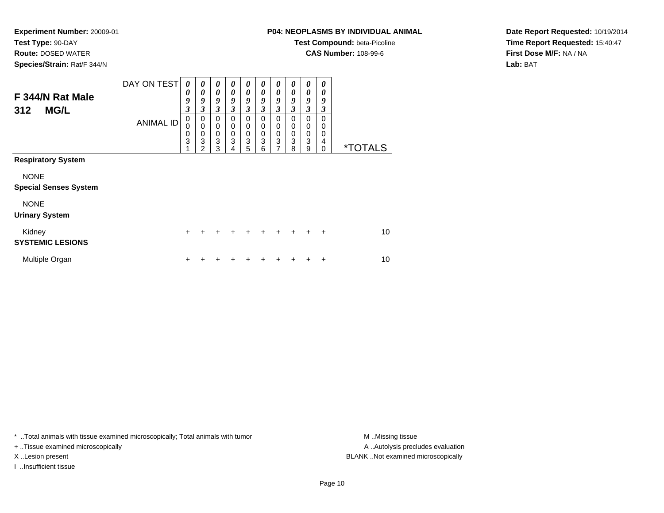**Route:** DOSED WATER

**Species/Strain:** Rat/F 344/N

# **P04: NEOPLASMS BY INDIVIDUAL ANIMAL**

**Test Compound:** beta-Picoline

**CAS Number:** 108-99-6

**Date Report Requested:** 10/19/2014**Time Report Requested:** 15:40:47**First Dose M/F:** NA / NA**Lab:** BAT

| F 344/N Rat Male<br><b>MG/L</b><br>312      | DAY ON TEST<br><b>ANIMAL ID</b> | $\boldsymbol{\theta}$<br>0<br>9<br>$\boldsymbol{\beta}$<br>0<br>0<br>$\mathbf 0$<br>3 | $\boldsymbol{\theta}$<br>$\boldsymbol{\theta}$<br>9<br>$\mathfrak{z}$<br>0<br>$\mathbf 0$<br>$\boldsymbol{0}$<br>3<br>2 | $\boldsymbol{\theta}$<br>$\boldsymbol{\theta}$<br>9<br>3<br>0<br>0<br>0<br>3<br>3 | 0<br>0<br>9<br>3<br>0<br>0<br>0<br>3<br>4 | $\boldsymbol{\theta}$<br>$\boldsymbol{\theta}$<br>9<br>$\boldsymbol{\beta}$<br>0<br>$\mathbf 0$<br>$\pmb{0}$<br>$\ensuremath{\mathsf{3}}$<br>5 | 0<br>0<br>9<br>3<br>0<br>0<br>0<br>3<br>6 | 0<br>0<br>9<br>3<br>0<br>0<br>$\pmb{0}$<br>3<br>7 | 0<br>$\boldsymbol{\theta}$<br>9<br>3<br>$\Omega$<br>$\Omega$<br>$\mathbf 0$<br>3<br>8 | 0<br>0<br>9<br>3<br>$\Omega$<br>0<br>$\mathbf 0$<br>3<br>9 | 0<br>0<br>9<br>3<br>$\Omega$<br>0<br>0<br>4<br>0 | <i><b>*TOTALS</b></i> |
|---------------------------------------------|---------------------------------|---------------------------------------------------------------------------------------|-------------------------------------------------------------------------------------------------------------------------|-----------------------------------------------------------------------------------|-------------------------------------------|------------------------------------------------------------------------------------------------------------------------------------------------|-------------------------------------------|---------------------------------------------------|---------------------------------------------------------------------------------------|------------------------------------------------------------|--------------------------------------------------|-----------------------|
| <b>Respiratory System</b>                   |                                 |                                                                                       |                                                                                                                         |                                                                                   |                                           |                                                                                                                                                |                                           |                                                   |                                                                                       |                                                            |                                                  |                       |
| <b>NONE</b><br><b>Special Senses System</b> |                                 |                                                                                       |                                                                                                                         |                                                                                   |                                           |                                                                                                                                                |                                           |                                                   |                                                                                       |                                                            |                                                  |                       |
| <b>NONE</b><br><b>Urinary System</b>        |                                 |                                                                                       |                                                                                                                         |                                                                                   |                                           |                                                                                                                                                |                                           |                                                   |                                                                                       |                                                            |                                                  |                       |
| Kidney<br><b>SYSTEMIC LESIONS</b>           |                                 | $\ddot{}$                                                                             | +                                                                                                                       | ٠                                                                                 | ٠                                         | ٠                                                                                                                                              | $\ddot{}$                                 | ÷                                                 | $\ddot{}$                                                                             | ÷                                                          | $\ddot{}$                                        | 10                    |
| Multiple Organ                              |                                 | +                                                                                     |                                                                                                                         |                                                                                   |                                           |                                                                                                                                                |                                           |                                                   |                                                                                       |                                                            | ÷                                                | 10                    |

\* ..Total animals with tissue examined microscopically; Total animals with tumor **M** . Missing tissue M ..Missing tissue

+ ..Tissue examined microscopically

I ..Insufficient tissue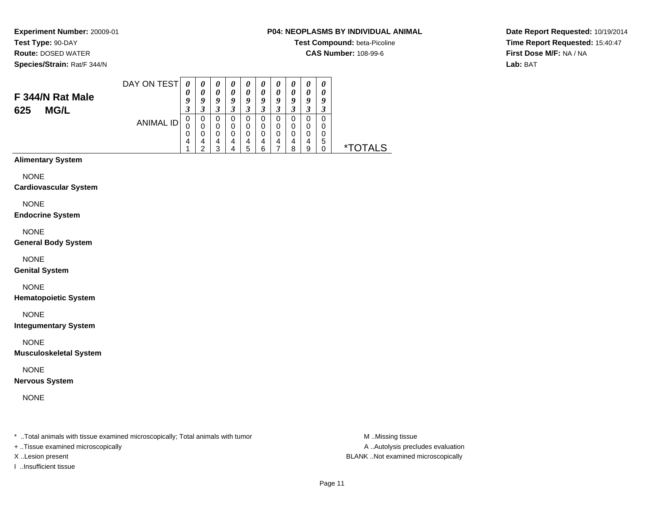**Experiment Number:** 20009-01**Test Type:** 90-DAY**Route:** DOSED WATER

**Species/Strain:** Rat/F 344/N

#### **P04: NEOPLASMS BY INDIVIDUAL ANIMAL**

**Test Compound:** beta-Picoline

**CAS Number:** 108-99-6

**Date Report Requested:** 10/19/2014**Time Report Requested:** 15:40:47**First Dose M/F:** NA / NA**Lab:** BAT

#### DAY ON TEST**F 344/N Rat Male625 MG/L**ANIMAL ID*0 0 9 3* 0 0 0 4 1*0 0 9 3*0<br>0<br>0<br>4<br>2 *0 0 9 3* 0 0 0 4 3*0 0 9 3* 0 0 0 4 4*0 0 9 3* 0 0 0 4 5*0 0 9 3* 0 0 0 4 6*0 0 9 3* 0 0 0 4 7*0 0 9 3* 0 0 0 4 8*0 0 9 3*0<br>0<br>0<br>9<br>9 *0 0 9 3* 0 0 0 5 $\check{\mathrm{o}}$ 0 \*TOTALS

#### **Alimentary System**

NONE

#### **Cardiovascular System**

NONE

#### **Endocrine System**

NONE

#### **General Body System**

NONE

#### **Genital System**

# NONE

**Hematopoietic System**

NONE

**Integumentary System**

NONE

**Musculoskeletal System**

NONE

**Nervous System**

NONE

\* ..Total animals with tissue examined microscopically; Total animals with tumor **M** ..Missing tissue M ..Missing tissue

+ ..Tissue examined microscopically

I ..Insufficient tissue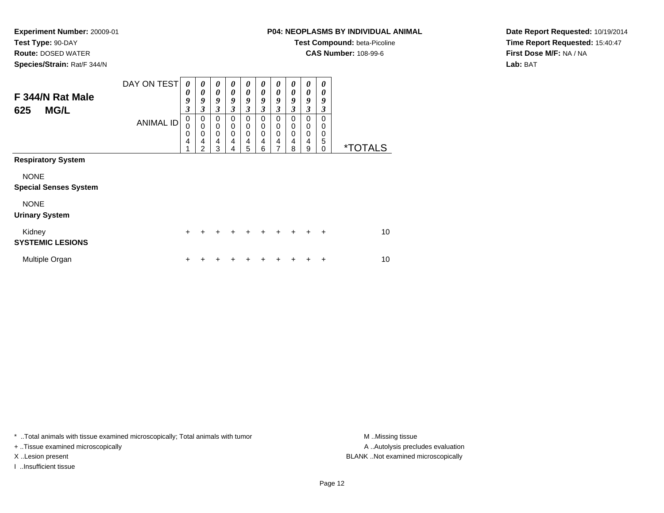**Route:** DOSED WATER

**Species/Strain:** Rat/F 344/N

# **P04: NEOPLASMS BY INDIVIDUAL ANIMAL**

**Test Compound:** beta-Picoline

**CAS Number:** 108-99-6

**Date Report Requested:** 10/19/2014**Time Report Requested:** 15:40:47**First Dose M/F:** NA / NA**Lab:** BAT

| F 344/N Rat Male<br><b>MG/L</b><br>625      | DAY ON TEST<br><b>ANIMAL ID</b> | $\boldsymbol{\theta}$<br>$\boldsymbol{\theta}$<br>9<br>$\mathfrak{z}$<br>0<br>0<br>0<br>4 | 0<br>$\boldsymbol{\theta}$<br>9<br>3<br>0<br>$\mathbf 0$<br>$\mathbf 0$<br>4 | $\boldsymbol{\theta}$<br>$\boldsymbol{\theta}$<br>9<br>3<br>0<br>0<br>$\mathbf 0$<br>$\overline{4}$ | 0<br>0<br>9<br>3<br>0<br>0<br>$\mathbf 0$<br>4 | 0<br>0<br>9<br>3<br>0<br>0<br>0<br>4 | 0<br>0<br>9<br>3<br>0<br>0<br>$\Omega$<br>4 | 0<br>$\boldsymbol{\theta}$<br>9<br>$\mathfrak{z}$<br>0<br>0<br>$\mathbf 0$<br>$\overline{4}$ | 0<br>0<br>9<br>3<br>0<br>0<br>0<br>4 | 0<br>0<br>9<br>3<br>0<br>0<br>$\mathbf 0$<br>$\overline{4}$ | 0<br>0<br>9<br>3<br>$\Omega$<br>$\Omega$<br>0<br>5 |                       |
|---------------------------------------------|---------------------------------|-------------------------------------------------------------------------------------------|------------------------------------------------------------------------------|-----------------------------------------------------------------------------------------------------|------------------------------------------------|--------------------------------------|---------------------------------------------|----------------------------------------------------------------------------------------------|--------------------------------------|-------------------------------------------------------------|----------------------------------------------------|-----------------------|
| <b>Respiratory System</b>                   |                                 | 4                                                                                         | $\overline{2}$                                                               | 3                                                                                                   | 4                                              | 5                                    | 6                                           | 7                                                                                            | 8                                    | 9                                                           | 0                                                  | <i><b>*TOTALS</b></i> |
| <b>NONE</b><br><b>Special Senses System</b> |                                 |                                                                                           |                                                                              |                                                                                                     |                                                |                                      |                                             |                                                                                              |                                      |                                                             |                                                    |                       |
| <b>NONE</b><br><b>Urinary System</b>        |                                 |                                                                                           |                                                                              |                                                                                                     |                                                |                                      |                                             |                                                                                              |                                      |                                                             |                                                    |                       |
| Kidney<br><b>SYSTEMIC LESIONS</b>           |                                 | $\ddot{}$                                                                                 | +                                                                            | +                                                                                                   | $\div$                                         | +                                    | $\ddot{}$                                   | ÷                                                                                            | $+$                                  | ÷                                                           | $\ddot{}$                                          | 10                    |
| Multiple Organ                              |                                 | ٠                                                                                         |                                                                              |                                                                                                     |                                                |                                      |                                             |                                                                                              |                                      |                                                             | ٠                                                  | 10                    |

\* ..Total animals with tissue examined microscopically; Total animals with tumor **M** . Missing tissue M ..Missing tissue

+ ..Tissue examined microscopically

I ..Insufficient tissue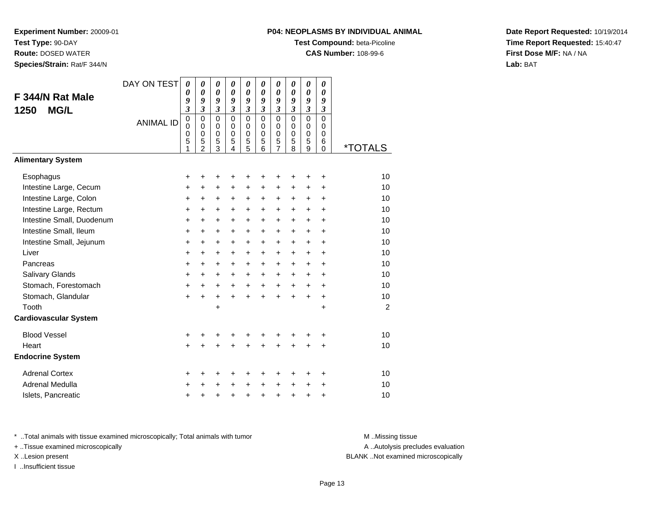**Route:** DOSED WATER

**Species/Strain:** Rat/F 344/N

# **P04: NEOPLASMS BY INDIVIDUAL ANIMAL**

**Test Compound:** beta-Picoline

**CAS Number:** 108-99-6

**Date Report Requested:** 10/19/2014**Time Report Requested:** 15:40:47**First Dose M/F:** NA / NA**Lab:** BAT

| F 344/N Rat Male<br><b>MG/L</b><br>1250 | DAY ON TEST<br><b>ANIMAL ID</b> | 0<br>0<br>9<br>$\overline{\mathbf{3}}$<br>$\mathbf 0$<br>$\mathbf 0$<br>0<br>5 | 0<br>$\boldsymbol{\theta}$<br>9<br>$\mathfrak{z}$<br>$\mathbf 0$<br>$\mathbf 0$<br>$\pmb{0}$<br>5 | 0<br>$\boldsymbol{\theta}$<br>9<br>$\boldsymbol{\mathfrak{z}}$<br>$\mathbf 0$<br>0<br>$\pmb{0}$<br>5 | 0<br>0<br>9<br>$\mathfrak{z}$<br>$\mathbf 0$<br>$\mathbf 0$<br>$\pmb{0}$<br>5 | 0<br>0<br>9<br>$\boldsymbol{\mathfrak{z}}$<br>$\mathbf 0$<br>0<br>$\mathbf 0$<br>$\frac{5}{5}$ | 0<br>0<br>9<br>$\mathfrak{z}$<br>$\Omega$<br>$\Omega$<br>$\mathbf 0$<br>5 | 0<br>$\boldsymbol{\theta}$<br>9<br>3<br>$\mathbf 0$<br>0<br>$\mathbf 0$<br>5 | 0<br>0<br>9<br>$\overline{\mathbf{3}}$<br>$\mathbf 0$<br>0<br>$\mathbf 0$<br>5 | 0<br>0<br>9<br>$\overline{\mathbf{3}}$<br>$\overline{0}$<br>0<br>$\mathbf 0$<br>5 | 0<br>0<br>9<br>$\boldsymbol{\beta}$<br>$\mathbf 0$<br>$\Omega$<br>$\mathbf 0$<br>6 |                       |
|-----------------------------------------|---------------------------------|--------------------------------------------------------------------------------|---------------------------------------------------------------------------------------------------|------------------------------------------------------------------------------------------------------|-------------------------------------------------------------------------------|------------------------------------------------------------------------------------------------|---------------------------------------------------------------------------|------------------------------------------------------------------------------|--------------------------------------------------------------------------------|-----------------------------------------------------------------------------------|------------------------------------------------------------------------------------|-----------------------|
|                                         |                                 |                                                                                | $\mathcal{P}$                                                                                     | $\overline{3}$                                                                                       | 4                                                                             |                                                                                                | 6                                                                         | $\overline{7}$                                                               | 8                                                                              | 9                                                                                 | 0                                                                                  | <i><b>*TOTALS</b></i> |
| <b>Alimentary System</b>                |                                 |                                                                                |                                                                                                   |                                                                                                      |                                                                               |                                                                                                |                                                                           |                                                                              |                                                                                |                                                                                   |                                                                                    |                       |
| Esophagus                               |                                 | +                                                                              | +                                                                                                 | +                                                                                                    | +                                                                             | +                                                                                              | +                                                                         | +                                                                            |                                                                                | +                                                                                 | +                                                                                  | 10                    |
| Intestine Large, Cecum                  |                                 | +                                                                              | +                                                                                                 | $\ddot{}$                                                                                            | +                                                                             | +                                                                                              | +                                                                         | +                                                                            | +                                                                              | +                                                                                 | +                                                                                  | 10                    |
| Intestine Large, Colon                  |                                 | +                                                                              | +                                                                                                 | +                                                                                                    | +                                                                             | +                                                                                              | +                                                                         | +                                                                            | +                                                                              | +                                                                                 | +                                                                                  | 10                    |
| Intestine Large, Rectum                 |                                 | $\ddot{}$                                                                      | $\ddot{}$                                                                                         | $\ddot{}$                                                                                            | $\ddot{}$                                                                     | $\ddot{}$                                                                                      | $\ddot{}$                                                                 | $\ddot{}$                                                                    | $\ddot{}$                                                                      | $\ddot{}$                                                                         | $\ddot{}$                                                                          | 10                    |
| Intestine Small, Duodenum               |                                 | $\ddot{}$                                                                      | $\ddot{}$                                                                                         | $\ddot{}$                                                                                            | $\ddot{}$                                                                     | $\ddot{}$                                                                                      | $\ddot{}$                                                                 | $\ddot{}$                                                                    | $\ddot{}$                                                                      | $\ddot{}$                                                                         | $\ddot{}$                                                                          | 10                    |
| Intestine Small, Ileum                  |                                 | $\ddot{}$                                                                      | $\ddot{}$                                                                                         | $\ddot{}$                                                                                            | $\ddot{}$                                                                     | $\ddot{}$                                                                                      | +                                                                         | $\ddot{}$                                                                    | $\ddot{}$                                                                      | $\ddot{}$                                                                         | $\ddot{}$                                                                          | 10                    |
| Intestine Small, Jejunum                |                                 | +                                                                              | $\ddot{}$                                                                                         | $\ddot{}$                                                                                            | +                                                                             | +                                                                                              | +                                                                         | +                                                                            | +                                                                              | +                                                                                 | +                                                                                  | 10                    |
| Liver                                   |                                 | $\ddot{}$                                                                      | $\ddot{}$                                                                                         | $\ddot{}$                                                                                            | $\ddot{}$                                                                     | $\ddot{}$                                                                                      | $\ddot{}$                                                                 | $\ddot{}$                                                                    | $\ddot{}$                                                                      | $\ddot{}$                                                                         | $\ddot{}$                                                                          | 10                    |
| Pancreas                                |                                 | +                                                                              | $\ddot{}$                                                                                         | $\ddot{}$                                                                                            | +                                                                             | +                                                                                              | +                                                                         | +                                                                            | +                                                                              | $\ddot{}$                                                                         | +                                                                                  | 10                    |
| Salivary Glands                         |                                 | +                                                                              | +                                                                                                 | +                                                                                                    | +                                                                             | +                                                                                              | +                                                                         | $\ddot{}$                                                                    | $\ddot{}$                                                                      | $\ddot{}$                                                                         | $\ddot{}$                                                                          | 10                    |
| Stomach, Forestomach                    |                                 | $\ddot{}$                                                                      | $\ddot{}$                                                                                         | $\ddot{}$                                                                                            | $+$                                                                           | $\ddot{}$                                                                                      | $\ddot{}$                                                                 | $\ddot{}$                                                                    | $+$                                                                            | $\ddot{}$                                                                         | $\ddot{}$                                                                          | 10                    |
| Stomach, Glandular                      |                                 | $\ddot{}$                                                                      | $\ddot{}$                                                                                         | $\ddot{}$                                                                                            | $\ddot{}$                                                                     | $+$                                                                                            | $\ddot{}$                                                                 | $\ddot{}$                                                                    | $\ddot{}$                                                                      | $\ddot{}$                                                                         | $\ddot{}$                                                                          | 10                    |
| Tooth                                   |                                 |                                                                                |                                                                                                   | +                                                                                                    |                                                                               |                                                                                                |                                                                           |                                                                              |                                                                                |                                                                                   | +                                                                                  | 2                     |
| <b>Cardiovascular System</b>            |                                 |                                                                                |                                                                                                   |                                                                                                      |                                                                               |                                                                                                |                                                                           |                                                                              |                                                                                |                                                                                   |                                                                                    |                       |
| <b>Blood Vessel</b>                     |                                 | +                                                                              | +                                                                                                 | +                                                                                                    | +                                                                             | +                                                                                              | +                                                                         | +                                                                            | +                                                                              | +                                                                                 | +                                                                                  | 10                    |
| Heart                                   |                                 | $\ddot{}$                                                                      |                                                                                                   |                                                                                                      |                                                                               | Ŧ.                                                                                             | $\ddot{}$                                                                 | $\ddot{}$                                                                    | ÷                                                                              |                                                                                   | $\ddot{}$                                                                          | 10                    |
| <b>Endocrine System</b>                 |                                 |                                                                                |                                                                                                   |                                                                                                      |                                                                               |                                                                                                |                                                                           |                                                                              |                                                                                |                                                                                   |                                                                                    |                       |
| <b>Adrenal Cortex</b>                   |                                 | +                                                                              | +                                                                                                 | +                                                                                                    | ٠                                                                             | +                                                                                              | +                                                                         | +                                                                            | ٠                                                                              | ٠                                                                                 | +                                                                                  | 10                    |
| Adrenal Medulla                         |                                 | +                                                                              |                                                                                                   |                                                                                                      |                                                                               | +                                                                                              | $\ddot{}$                                                                 | $\ddot{}$                                                                    | $\ddot{}$                                                                      | +                                                                                 | +                                                                                  | 10                    |
| Islets, Pancreatic                      |                                 | +                                                                              | +                                                                                                 | +                                                                                                    | +                                                                             | +                                                                                              | $\ddot{}$                                                                 | +                                                                            | $\ddot{}$                                                                      | +                                                                                 | +                                                                                  | 10                    |

\* ..Total animals with tissue examined microscopically; Total animals with tumor **M** . Missing tissue M ..Missing tissue

+ ..Tissue examined microscopically

I ..Insufficient tissue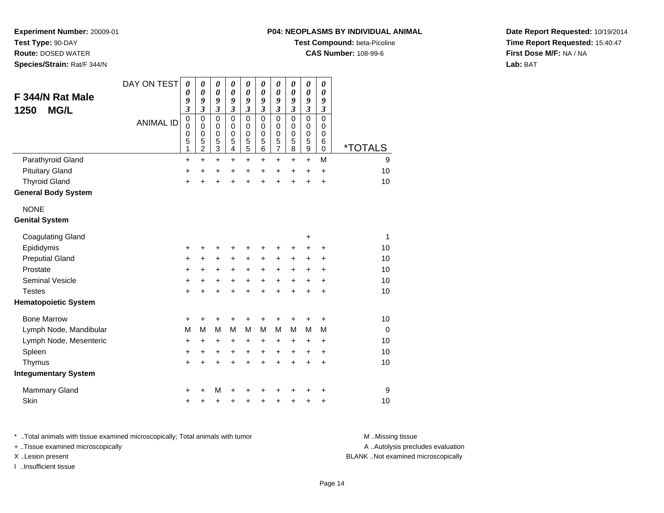**Route:** DOSED WATER**Species/Strain:** Rat/F 344/N

#### **P04: NEOPLASMS BY INDIVIDUAL ANIMAL**

**Test Compound:** beta-Picoline

**CAS Number:** 108-99-6

**Date Report Requested:** 10/19/2014**Time Report Requested:** 15:40:47**First Dose M/F:** NA / NA**Lab:** BAT

| F 344/N Rat Male<br><b>MG/L</b><br>1250 | DAY ON TEST      | $\boldsymbol{\theta}$<br>0<br>9<br>3              | 0<br>0<br>9<br>$\mathfrak{z}$                              | 0<br>$\boldsymbol{\theta}$<br>9<br>$\boldsymbol{\mathfrak{z}}$ | 0<br>0<br>9<br>$\boldsymbol{\beta}$ | 0<br>0<br>9<br>$\boldsymbol{\mathfrak{z}}$             | 0<br>0<br>9<br>$\boldsymbol{\beta}$       | 0<br>$\boldsymbol{\theta}$<br>9<br>$\boldsymbol{\mathfrak{z}}$   | 0<br>0<br>9<br>3                          | 0<br>$\boldsymbol{\theta}$<br>9<br>$\boldsymbol{\mathfrak{z}}$ | 0<br>0<br>9<br>$\boldsymbol{\mathfrak{z}}$                    |                       |
|-----------------------------------------|------------------|---------------------------------------------------|------------------------------------------------------------|----------------------------------------------------------------|-------------------------------------|--------------------------------------------------------|-------------------------------------------|------------------------------------------------------------------|-------------------------------------------|----------------------------------------------------------------|---------------------------------------------------------------|-----------------------|
|                                         | <b>ANIMAL ID</b> | $\pmb{0}$<br>$\mathbf 0$<br>$\mathbf 0$<br>5<br>1 | $\mathbf 0$<br>$\mathbf 0$<br>$\mathbf 0$<br>$\frac{5}{2}$ | $\mathbf 0$<br>$\mathbf 0$<br>$\mathbf 0$<br>$\frac{5}{3}$     | $\mathbf 0$<br>0<br>0<br>5<br>4     | $\mathbf 0$<br>0<br>$\mathbf 0$<br>5<br>$\overline{5}$ | $\mathbf 0$<br>0<br>$\mathbf 0$<br>5<br>6 | $\mathbf 0$<br>$\mathbf 0$<br>$\mathbf 0$<br>5<br>$\overline{7}$ | $\mathbf 0$<br>0<br>$\mathbf 0$<br>5<br>8 | $\mathbf 0$<br>$\pmb{0}$<br>$\mathbf 0$<br>5<br>$\overline{9}$ | $\mathbf 0$<br>$\mathbf 0$<br>$\mathbf 0$<br>6<br>$\mathbf 0$ | <i><b>*TOTALS</b></i> |
| Parathyroid Gland                       |                  | $\ddot{}$                                         | +                                                          | $\ddot{}$                                                      | +                                   | $\ddot{}$                                              | +                                         | $\ddot{}$                                                        | +                                         | $\ddot{}$                                                      | M                                                             | 9                     |
| <b>Pituitary Gland</b>                  |                  | +                                                 | +                                                          | +                                                              | +                                   | +                                                      | +                                         | +                                                                | +                                         | +                                                              | $\ddot{}$                                                     | 10                    |
| <b>Thyroid Gland</b>                    |                  | $\ddot{}$                                         |                                                            | $\ddot{}$                                                      | ÷                                   | $\ddot{}$                                              | $\ddot{}$                                 | $\ddot{}$                                                        | $\ddot{}$                                 | $\ddot{}$                                                      | $\ddot{}$                                                     | 10                    |
| <b>General Body System</b>              |                  |                                                   |                                                            |                                                                |                                     |                                                        |                                           |                                                                  |                                           |                                                                |                                                               |                       |
| <b>NONE</b>                             |                  |                                                   |                                                            |                                                                |                                     |                                                        |                                           |                                                                  |                                           |                                                                |                                                               |                       |
| <b>Genital System</b>                   |                  |                                                   |                                                            |                                                                |                                     |                                                        |                                           |                                                                  |                                           |                                                                |                                                               |                       |
| <b>Coagulating Gland</b>                |                  |                                                   |                                                            |                                                                |                                     |                                                        |                                           |                                                                  |                                           | +                                                              |                                                               | $\mathbf{1}$          |
| Epididymis                              |                  | +                                                 |                                                            | +                                                              | +                                   | +                                                      | +                                         | +                                                                | +                                         | +                                                              | +                                                             | 10                    |
| <b>Preputial Gland</b>                  |                  | +                                                 | +                                                          | $\ddot{}$                                                      | $\ddot{}$                           | $\ddot{}$                                              | +                                         | +                                                                | +                                         | +                                                              | +                                                             | 10                    |
| Prostate                                |                  | $\ddot{}$                                         | +                                                          | +                                                              | +                                   | $\ddot{}$                                              | $\ddot{}$                                 | +                                                                | $\ddot{}$                                 | $\pm$                                                          | $\ddot{}$                                                     | 10                    |
| <b>Seminal Vesicle</b>                  |                  | +                                                 | +                                                          | $\ddot{}$                                                      | $\ddot{}$                           | $\ddot{}$                                              | $\ddot{}$                                 | $\ddot{}$                                                        | $\ddot{}$                                 | $\ddot{}$                                                      | $\ddot{}$                                                     | 10                    |
| <b>Testes</b>                           |                  | $\ddot{}$                                         | $\ddot{}$                                                  | $\ddot{}$                                                      | $\ddot{}$                           | $\ddot{}$                                              | $\ddot{}$                                 | $\ddot{}$                                                        | $\ddot{}$                                 | $\ddot{}$                                                      | $\ddot{}$                                                     | 10                    |
| <b>Hematopoietic System</b>             |                  |                                                   |                                                            |                                                                |                                     |                                                        |                                           |                                                                  |                                           |                                                                |                                                               |                       |
| <b>Bone Marrow</b>                      |                  | +                                                 | +                                                          | +                                                              | +                                   | +                                                      | +                                         | +                                                                | +                                         | +                                                              | +                                                             | 10                    |
| Lymph Node, Mandibular                  |                  | M                                                 | M                                                          | M                                                              | M                                   | M                                                      | M                                         | M                                                                | M                                         | M                                                              | M                                                             | $\Omega$              |
| Lymph Node, Mesenteric                  |                  | $\ddot{}$                                         | +                                                          | +                                                              | +                                   | +                                                      | +                                         | +                                                                | $\ddot{}$                                 | $\pm$                                                          | $\ddot{}$                                                     | 10                    |
| Spleen                                  |                  | +                                                 | $\ddot{}$                                                  | $\ddot{}$                                                      | $\ddot{}$                           | $\ddot{}$                                              | $\ddot{}$                                 | $\ddot{}$                                                        | $\ddot{}$                                 | $\ddot{}$                                                      | $\ddot{}$                                                     | 10                    |
| Thymus                                  |                  | $+$                                               | ÷                                                          | $\ddot{}$                                                      | $\ddot{}$                           | $\ddot{}$                                              | $\ddot{}$                                 | $\ddot{}$                                                        | $\ddot{}$                                 | $\ddot{}$                                                      | $\ddot{}$                                                     | 10                    |
| <b>Integumentary System</b>             |                  |                                                   |                                                            |                                                                |                                     |                                                        |                                           |                                                                  |                                           |                                                                |                                                               |                       |
| <b>Mammary Gland</b>                    |                  | +                                                 |                                                            | M                                                              |                                     |                                                        |                                           | +                                                                |                                           |                                                                | +                                                             | 9                     |
| Skin                                    |                  | $\ddot{}$                                         |                                                            | +                                                              | +                                   | +                                                      | +                                         | +                                                                | +                                         | +                                                              | +                                                             | 10                    |

\* ..Total animals with tissue examined microscopically; Total animals with tumor **M** . Missing tissue M ..Missing tissue A ..Autolysis precludes evaluation + ..Tissue examined microscopically X ..Lesion present BLANK ..Not examined microscopicallyI ..Insufficient tissue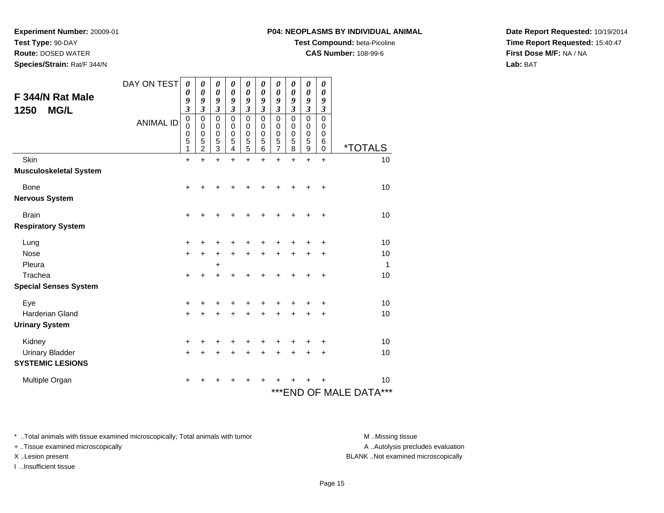**Test Type:** 90-DAY

**Route:** DOSED WATER

**Species/Strain:** Rat/F 344/N

#### **P04: NEOPLASMS BY INDIVIDUAL ANIMAL**

**Test Compound:** beta-Picoline

**CAS Number:** 108-99-6

**Date Report Requested:** 10/19/2014**Time Report Requested:** 15:40:47**First Dose M/F:** NA / NA**Lab:** BAT

| F 344/N Rat Male<br><b>MG/L</b><br>1250 | DAY ON TEST      | 0<br>0<br>9<br>$\mathfrak{z}$   | 0<br>0<br>9<br>3                                              | $\boldsymbol{\theta}$<br>0<br>9<br>$\boldsymbol{\beta}$ | 0<br>0<br>9<br>3                          | $\pmb{\theta}$<br>0<br>9<br>$\mathfrak{z}$   | 0<br>0<br>9<br>3                | 0<br>0<br>9<br>3                   | 0<br>$\boldsymbol{\theta}$<br>9<br>3             | 0<br>$\boldsymbol{\theta}$<br>9<br>$\boldsymbol{\beta}$  | 0<br>0<br>9<br>3                          |                            |
|-----------------------------------------|------------------|---------------------------------|---------------------------------------------------------------|---------------------------------------------------------|-------------------------------------------|----------------------------------------------|---------------------------------|------------------------------------|--------------------------------------------------|----------------------------------------------------------|-------------------------------------------|----------------------------|
|                                         | <b>ANIMAL ID</b> | $\mathbf 0$<br>0<br>0<br>5<br>1 | $\mathbf 0$<br>$\Omega$<br>$\mathbf 0$<br>5<br>$\overline{2}$ | $\mathbf 0$<br>0<br>0<br>5<br>$\overline{3}$            | $\mathbf 0$<br>0<br>$\mathbf 0$<br>5<br>4 | $\mathbf 0$<br>0<br>0<br>5<br>$\overline{5}$ | $\mathbf 0$<br>0<br>0<br>5<br>6 | 0<br>0<br>0<br>5<br>$\overline{7}$ | $\mathbf 0$<br>$\Omega$<br>$\mathbf 0$<br>5<br>8 | $\mathbf 0$<br>0<br>$\mathbf 0$<br>5<br>$\boldsymbol{9}$ | $\mathbf 0$<br>0<br>$\mathbf 0$<br>6<br>0 | <i><b>*TOTALS</b></i>      |
| Skin                                    |                  | $\ddot{}$                       | $\ddot{}$                                                     | $\ddot{}$                                               | $\ddot{}$                                 | $+$                                          | $\ddot{}$                       | $\ddot{}$                          | $\ddot{}$                                        | $\ddot{}$                                                | $\ddot{}$                                 | 10                         |
| <b>Musculoskeletal System</b>           |                  |                                 |                                                               |                                                         |                                           |                                              |                                 |                                    |                                                  |                                                          |                                           |                            |
| Bone                                    |                  | $\ddot{}$                       | +                                                             | +                                                       |                                           |                                              |                                 |                                    |                                                  |                                                          | $\ddot{}$                                 | 10                         |
| <b>Nervous System</b>                   |                  |                                 |                                                               |                                                         |                                           |                                              |                                 |                                    |                                                  |                                                          |                                           |                            |
| <b>Brain</b>                            |                  | $\ddot{}$                       | +                                                             | +                                                       |                                           |                                              |                                 |                                    |                                                  |                                                          | ÷                                         | 10                         |
| <b>Respiratory System</b>               |                  |                                 |                                                               |                                                         |                                           |                                              |                                 |                                    |                                                  |                                                          |                                           |                            |
| Lung                                    |                  | +                               | +                                                             | +                                                       |                                           | +                                            |                                 |                                    |                                                  |                                                          |                                           | 10                         |
| Nose                                    |                  | $\ddot{}$                       | $\ddot{}$                                                     | $\ddot{}$                                               | $\ddot{}$                                 | $\ddot{}$                                    | ٠                               | +                                  |                                                  |                                                          | ٠                                         | 10                         |
| Pleura                                  |                  |                                 |                                                               | $\ddot{}$                                               |                                           |                                              |                                 |                                    |                                                  |                                                          |                                           | $\mathbf{1}$               |
| Trachea                                 |                  | +                               | $\ddot{}$                                                     | $\ddot{}$                                               |                                           | +                                            | ┿                               | +                                  |                                                  |                                                          | +                                         | 10                         |
| <b>Special Senses System</b>            |                  |                                 |                                                               |                                                         |                                           |                                              |                                 |                                    |                                                  |                                                          |                                           |                            |
| Eye                                     |                  | +                               | +                                                             | +                                                       |                                           |                                              |                                 |                                    |                                                  |                                                          | ٠                                         | 10                         |
| <b>Harderian Gland</b>                  |                  | +                               | +                                                             | +                                                       | +                                         | +                                            |                                 | +                                  | +                                                |                                                          | +                                         | 10                         |
| <b>Urinary System</b>                   |                  |                                 |                                                               |                                                         |                                           |                                              |                                 |                                    |                                                  |                                                          |                                           |                            |
| Kidney                                  |                  | +                               | +                                                             | +                                                       |                                           |                                              |                                 |                                    |                                                  |                                                          | +                                         | 10                         |
| <b>Urinary Bladder</b>                  |                  | $\ddot{}$                       | +                                                             | +                                                       | +                                         | $\pm$                                        | +                               | +                                  | +                                                | $\ddot{}$                                                | $\ddot{}$                                 | 10                         |
| <b>SYSTEMIC LESIONS</b>                 |                  |                                 |                                                               |                                                         |                                           |                                              |                                 |                                    |                                                  |                                                          |                                           |                            |
| Multiple Organ                          |                  | +                               |                                                               |                                                         |                                           |                                              |                                 |                                    |                                                  |                                                          |                                           | 10                         |
|                                         |                  |                                 |                                                               |                                                         |                                           |                                              |                                 |                                    |                                                  |                                                          |                                           | ***<br>***END OF MALE DATA |

\* ..Total animals with tissue examined microscopically; Total animals with tumor **M** . Missing tissue M ..Missing tissue

+ ..Tissue examined microscopically

I ..Insufficient tissue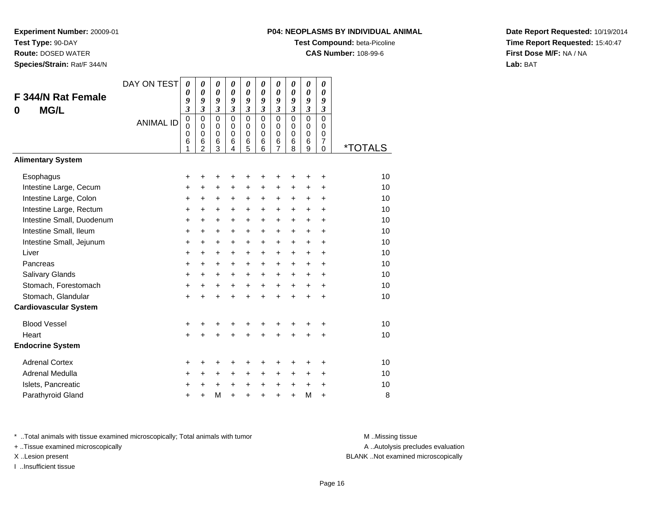**Test Type:** 90-DAY

**Route:** DOSED WATER

**Species/Strain:** Rat/F 344/N

#### **P04: NEOPLASMS BY INDIVIDUAL ANIMAL**

**Test Compound:** beta-Picoline

**CAS Number:** 108-99-6

**Date Report Requested:** 10/19/2014**Time Report Requested:** 15:40:47**First Dose M/F:** NA / NA**Lab:** BAT

| F 344/N Rat Female<br><b>MG/L</b><br>0                                                                                                                                                                                                                            | DAY ON TEST<br><b>ANIMAL ID</b> | $\boldsymbol{\theta}$<br>0<br>9<br>$\overline{\mathbf{3}}$<br>0<br>$\mathbf 0$<br>0<br>6<br>1                                            | $\boldsymbol{\theta}$<br>$\boldsymbol{\theta}$<br>9<br>$\overline{\mathbf{3}}$<br>$\mathbf 0$<br>$\Omega$<br>0<br>6<br>$\mathfrak{p}$ | 0<br>0<br>9<br>$\mathfrak{z}$<br>$\mathbf 0$<br>$\mathbf 0$<br>0<br>6<br>3                                               | $\boldsymbol{\theta}$<br>$\boldsymbol{\theta}$<br>$\boldsymbol{g}$<br>$\overline{3}$<br>$\Omega$<br>$\Omega$<br>$\Omega$<br>6<br>4 | 0<br>$\boldsymbol{\theta}$<br>9<br>$\mathfrak{z}$<br>$\mathbf 0$<br>$\mathbf 0$<br>$\mathbf 0$<br>$6\phantom{1}6$<br>5                           | 0<br>$\boldsymbol{\theta}$<br>9<br>$\mathfrak{z}$<br>$\Omega$<br>$\mathbf 0$<br>$\Omega$<br>6<br>6                                   | 0<br>0<br>9<br>3<br>$\mathbf 0$<br>$\mathbf 0$<br>0<br>6<br>$\overline{7}$                                                                 | 0<br>0<br>9<br>$\overline{\mathbf{3}}$<br>$\mathbf 0$<br>$\mathbf 0$<br>0<br>6<br>8                                                 | 0<br>0<br>9<br>$\overline{\mathbf{3}}$<br>$\mathbf 0$<br>$\mathbf 0$<br>0<br>6<br>9                                                | 0<br>0<br>9<br>$\mathfrak{z}$<br>0<br>0<br>0<br>$\overline{7}$<br>0                              | <i><b>*TOTALS</b></i>                                                |
|-------------------------------------------------------------------------------------------------------------------------------------------------------------------------------------------------------------------------------------------------------------------|---------------------------------|------------------------------------------------------------------------------------------------------------------------------------------|---------------------------------------------------------------------------------------------------------------------------------------|--------------------------------------------------------------------------------------------------------------------------|------------------------------------------------------------------------------------------------------------------------------------|--------------------------------------------------------------------------------------------------------------------------------------------------|--------------------------------------------------------------------------------------------------------------------------------------|--------------------------------------------------------------------------------------------------------------------------------------------|-------------------------------------------------------------------------------------------------------------------------------------|------------------------------------------------------------------------------------------------------------------------------------|--------------------------------------------------------------------------------------------------|----------------------------------------------------------------------|
| <b>Alimentary System</b>                                                                                                                                                                                                                                          |                                 |                                                                                                                                          |                                                                                                                                       |                                                                                                                          |                                                                                                                                    |                                                                                                                                                  |                                                                                                                                      |                                                                                                                                            |                                                                                                                                     |                                                                                                                                    |                                                                                                  |                                                                      |
| Esophagus<br>Intestine Large, Cecum<br>Intestine Large, Colon<br>Intestine Large, Rectum<br>Intestine Small, Duodenum<br>Intestine Small, Ileum<br>Intestine Small, Jejunum<br>Liver<br>Pancreas<br>Salivary Glands<br>Stomach, Forestomach<br>Stomach, Glandular |                                 | +<br>$\ddot{}$<br>$\ddot{}$<br>$\ddot{}$<br>$\ddot{}$<br>+<br>$\ddot{}$<br>$\ddot{}$<br>$\ddot{}$<br>$\ddot{}$<br>$\ddot{}$<br>$\ddot{}$ | +<br>+<br>$\ddot{}$<br>$\ddot{}$<br>$\ddot{}$<br>$\ddot{}$<br>$\ddot{}$<br>$\ddot{}$<br>$\ddot{}$<br>+<br>$\ddot{}$<br>$\ddot{}$      | +<br>$\ddot{}$<br>+<br>+<br>$\ddot{}$<br>$\ddot{}$<br>$\ddot{}$<br>$\ddot{}$<br>$\ddot{}$<br>+<br>$\ddot{}$<br>$\ddot{}$ | +<br>+<br>+<br>$\ddot{}$<br>$\ddot{}$<br>+<br>$\ddot{}$<br>+<br>+<br>+<br>$\ddot{}$<br>$\ddot{}$                                   | +<br>$\ddot{}$<br>$\ddot{}$<br>$\ddot{}$<br>$\ddot{}$<br>$\ddot{}$<br>$\ddot{}$<br>$\ddot{}$<br>$\ddot{}$<br>$\ddot{}$<br>$\ddot{}$<br>$\ddot{}$ | +<br>$\ddot{}$<br>$\ddot{}$<br>$\ddot{}$<br>$+$<br>$\ddot{}$<br>$\ddot{}$<br>$\ddot{}$<br>$+$<br>$\ddot{}$<br>$\ddot{}$<br>$\ddot{}$ | +<br>$\ddot{}$<br>$\ddot{}$<br>$\ddot{}$<br>$\ddot{}$<br>$\ddot{}$<br>$\ddot{}$<br>$\ddot{}$<br>$\ddot{}$<br>$\ddot{}$<br>$+$<br>$\ddot{}$ | $\ddot{}$<br>$\ddot{}$<br>$\ddot{}$<br>$\ddot{}$<br>$\ddot{}$<br>$\ddot{}$<br>$\ddot{}$<br>$\ddot{}$<br>+<br>$\ddot{}$<br>$\ddot{}$ | ٠<br>$\ddot{}$<br>$\ddot{}$<br>$\ddot{}$<br>$+$<br>$\ddot{}$<br>$\ddot{}$<br>$\ddot{}$<br>$\ddot{}$<br>+<br>$\ddot{}$<br>$\ddot{}$ | +<br>+<br>$\ddot{}$<br>$\ddot{}$<br>$\ddot{}$<br>+<br>$\ddot{}$<br>+<br>+<br>+<br>$\ddot{}$<br>+ | 10<br>10<br>10<br>10<br>10<br>10<br>10<br>10<br>10<br>10<br>10<br>10 |
| <b>Cardiovascular System</b>                                                                                                                                                                                                                                      |                                 |                                                                                                                                          |                                                                                                                                       |                                                                                                                          |                                                                                                                                    |                                                                                                                                                  |                                                                                                                                      |                                                                                                                                            |                                                                                                                                     |                                                                                                                                    |                                                                                                  |                                                                      |
| <b>Blood Vessel</b><br>Heart<br><b>Endocrine System</b>                                                                                                                                                                                                           |                                 | +<br>$\ddot{}$                                                                                                                           |                                                                                                                                       | +<br>$\ddot{}$                                                                                                           | +<br>Ŧ.                                                                                                                            | +<br>$\ddot{}$                                                                                                                                   | +<br>$\ddot{}$                                                                                                                       | +<br>$\ddot{}$                                                                                                                             |                                                                                                                                     | $\ddot{}$                                                                                                                          | +<br>+                                                                                           | 10<br>10                                                             |
| <b>Adrenal Cortex</b><br>Adrenal Medulla<br>Islets, Pancreatic<br>Parathyroid Gland                                                                                                                                                                               |                                 | +<br>+<br>+<br>$\ddot{}$                                                                                                                 | +<br>+<br>+<br>$\ddot{}$                                                                                                              | +<br>+<br>+<br>M                                                                                                         | +<br>+<br>+<br>$\ddot{}$                                                                                                           | +<br>+<br>$\ddot{}$<br>$\ddot{}$                                                                                                                 | +<br>$\ddot{}$<br>$\ddot{}$<br>$\ddot{}$                                                                                             | +<br>+<br>$\ddot{}$<br>$\ddot{}$                                                                                                           | +<br>+<br>+<br>$\ddot{}$                                                                                                            | +<br>$\ddot{}$<br>$\ddot{}$<br>M                                                                                                   | +<br>+<br>+<br>$\ddot{}$                                                                         | 10<br>10<br>10<br>8                                                  |

\* ..Total animals with tissue examined microscopically; Total animals with tumor **M** . Missing tissue M ..Missing tissue

+ ..Tissue examined microscopically

I ..Insufficient tissue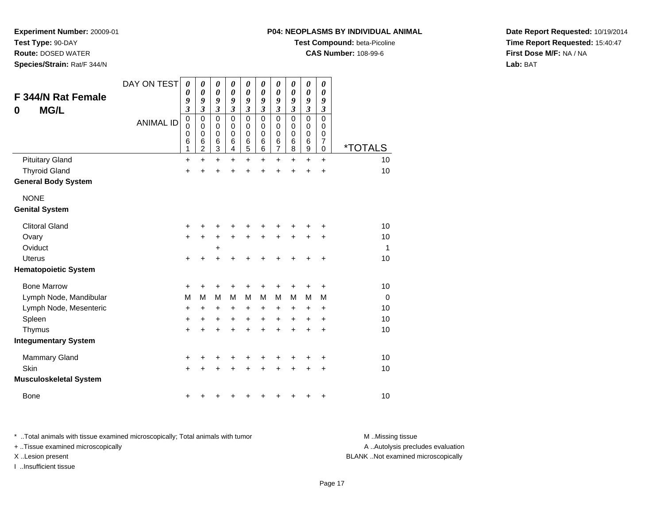**Test Type:** 90-DAY

**Route:** DOSED WATER

**Species/Strain:** Rat/F 344/N

#### **P04: NEOPLASMS BY INDIVIDUAL ANIMAL**

**Test Compound:** beta-Picoline

**CAS Number:** 108-99-6

**Date Report Requested:** 10/19/2014**Time Report Requested:** 15:40:47**First Dose M/F:** NA / NA**Lab:** BAT

| <b>F 344/N Rat Female</b><br><b>MG/L</b><br>0 | DAY ON TEST<br><b>ANIMAL ID</b> | 0<br>0<br>9<br>$\overline{\mathbf{3}}$<br>0<br>0<br>0<br>6<br>1 | 0<br>0<br>9<br>3<br>$\mathbf 0$<br>0<br>$\pmb{0}$<br>6<br>$\overline{2}$ | 0<br>$\boldsymbol{\theta}$<br>9<br>$\overline{\mathbf{3}}$<br>$\mathbf 0$<br>$\mathbf 0$<br>$\pmb{0}$<br>6<br>$\mathbf{3}$ | 0<br>$\boldsymbol{\theta}$<br>9<br>$\overline{\mathbf{3}}$<br>$\Omega$<br>0<br>$\pmb{0}$<br>6<br>4 | 0<br>$\boldsymbol{\theta}$<br>9<br>$\mathfrak{z}$<br>$\mathbf 0$<br>0<br>$\mathbf 0$<br>6<br>5 | 0<br>$\boldsymbol{\theta}$<br>9<br>$\mathfrak{z}$<br>$\Omega$<br>0<br>$\mathbf 0$<br>6<br>6 | 0<br>$\boldsymbol{\theta}$<br>9<br>$\mathfrak{z}$<br>$\mathbf 0$<br>$\mathbf 0$<br>$\pmb{0}$<br>$\,6$<br>$\overline{7}$ | 0<br>0<br>9<br>$\boldsymbol{\mathfrak{z}}$<br>$\mathbf 0$<br>0<br>0<br>6<br>8 | 0<br>0<br>9<br>$\boldsymbol{\mathfrak{z}}$<br>$\mathbf 0$<br>$\mathbf 0$<br>$\,0\,$<br>$\,6$<br>$\boldsymbol{9}$ | 0<br>0<br>9<br>$\mathfrak{z}$<br>$\Omega$<br>0<br>0<br>$\overline{7}$<br>0 | <i><b>*TOTALS</b></i> |
|-----------------------------------------------|---------------------------------|-----------------------------------------------------------------|--------------------------------------------------------------------------|----------------------------------------------------------------------------------------------------------------------------|----------------------------------------------------------------------------------------------------|------------------------------------------------------------------------------------------------|---------------------------------------------------------------------------------------------|-------------------------------------------------------------------------------------------------------------------------|-------------------------------------------------------------------------------|------------------------------------------------------------------------------------------------------------------|----------------------------------------------------------------------------|-----------------------|
| <b>Pituitary Gland</b>                        |                                 | +                                                               | $\ddot{}$                                                                | $\ddot{}$                                                                                                                  | $\ddot{}$                                                                                          | $\ddot{}$                                                                                      | $\ddot{}$                                                                                   | $\ddot{}$                                                                                                               | $\ddot{}$                                                                     | $\ddot{}$                                                                                                        | $\ddot{}$                                                                  | 10                    |
| <b>Thyroid Gland</b>                          |                                 | $\ddot{}$                                                       | +                                                                        | +                                                                                                                          | +                                                                                                  | +                                                                                              | +                                                                                           | +                                                                                                                       | +                                                                             | +                                                                                                                | +                                                                          | 10                    |
| <b>General Body System</b>                    |                                 |                                                                 |                                                                          |                                                                                                                            |                                                                                                    |                                                                                                |                                                                                             |                                                                                                                         |                                                                               |                                                                                                                  |                                                                            |                       |
| <b>NONE</b>                                   |                                 |                                                                 |                                                                          |                                                                                                                            |                                                                                                    |                                                                                                |                                                                                             |                                                                                                                         |                                                                               |                                                                                                                  |                                                                            |                       |
| <b>Genital System</b>                         |                                 |                                                                 |                                                                          |                                                                                                                            |                                                                                                    |                                                                                                |                                                                                             |                                                                                                                         |                                                                               |                                                                                                                  |                                                                            |                       |
| <b>Clitoral Gland</b>                         |                                 | +                                                               |                                                                          | +                                                                                                                          |                                                                                                    |                                                                                                |                                                                                             |                                                                                                                         |                                                                               |                                                                                                                  | +                                                                          | 10                    |
| Ovary                                         |                                 | +                                                               | +                                                                        | $\ddot{}$                                                                                                                  | $\ddot{}$                                                                                          | $\ddot{}$                                                                                      |                                                                                             | +                                                                                                                       |                                                                               | +                                                                                                                | +                                                                          | 10                    |
| Oviduct                                       |                                 |                                                                 |                                                                          | +                                                                                                                          |                                                                                                    |                                                                                                |                                                                                             |                                                                                                                         |                                                                               |                                                                                                                  |                                                                            | $\mathbf{1}$          |
| <b>Uterus</b>                                 |                                 | $\ddot{}$                                                       | +                                                                        | +                                                                                                                          |                                                                                                    |                                                                                                |                                                                                             |                                                                                                                         |                                                                               |                                                                                                                  | $\ddot{}$                                                                  | 10                    |
| <b>Hematopoietic System</b>                   |                                 |                                                                 |                                                                          |                                                                                                                            |                                                                                                    |                                                                                                |                                                                                             |                                                                                                                         |                                                                               |                                                                                                                  |                                                                            |                       |
| <b>Bone Marrow</b>                            |                                 | +                                                               | +                                                                        | +                                                                                                                          |                                                                                                    | +                                                                                              |                                                                                             |                                                                                                                         |                                                                               | +                                                                                                                | +                                                                          | 10                    |
| Lymph Node, Mandibular                        |                                 | M                                                               | м                                                                        | M                                                                                                                          | M                                                                                                  | M                                                                                              | M                                                                                           | M                                                                                                                       | М                                                                             | M                                                                                                                | M                                                                          | $\mathbf 0$           |
| Lymph Node, Mesenteric                        |                                 | +                                                               | +                                                                        | +                                                                                                                          | +                                                                                                  | +                                                                                              | +                                                                                           | +                                                                                                                       | $\ddot{}$                                                                     | +                                                                                                                | +                                                                          | 10                    |
| Spleen                                        |                                 | +                                                               | +                                                                        | +                                                                                                                          | +                                                                                                  | +                                                                                              | +                                                                                           | $\ddot{}$                                                                                                               | +                                                                             | +                                                                                                                | +                                                                          | 10                    |
| Thymus                                        |                                 | +                                                               | +                                                                        | +                                                                                                                          | +                                                                                                  | +                                                                                              | +                                                                                           | +                                                                                                                       | +                                                                             | $\ddot{}$                                                                                                        | $\ddot{}$                                                                  | 10                    |
| <b>Integumentary System</b>                   |                                 |                                                                 |                                                                          |                                                                                                                            |                                                                                                    |                                                                                                |                                                                                             |                                                                                                                         |                                                                               |                                                                                                                  |                                                                            |                       |
| Mammary Gland                                 |                                 | +                                                               | +                                                                        | +                                                                                                                          | +                                                                                                  | +                                                                                              | +                                                                                           | +                                                                                                                       | +                                                                             | +                                                                                                                | +                                                                          | 10                    |
| Skin                                          |                                 | +                                                               |                                                                          | +                                                                                                                          |                                                                                                    |                                                                                                |                                                                                             |                                                                                                                         |                                                                               | +                                                                                                                | +                                                                          | 10                    |
| <b>Musculoskeletal System</b>                 |                                 |                                                                 |                                                                          |                                                                                                                            |                                                                                                    |                                                                                                |                                                                                             |                                                                                                                         |                                                                               |                                                                                                                  |                                                                            |                       |
| <b>Bone</b>                                   |                                 | +                                                               |                                                                          |                                                                                                                            |                                                                                                    |                                                                                                |                                                                                             |                                                                                                                         |                                                                               | +                                                                                                                | +                                                                          | 10                    |

\* ..Total animals with tissue examined microscopically; Total animals with tumor **M** . Missing tissue M ..Missing tissue + ..Tissue examined microscopically X ..Lesion present BLANK ..Not examined microscopically

I ..Insufficient tissue

A ..Autolysis precludes evaluation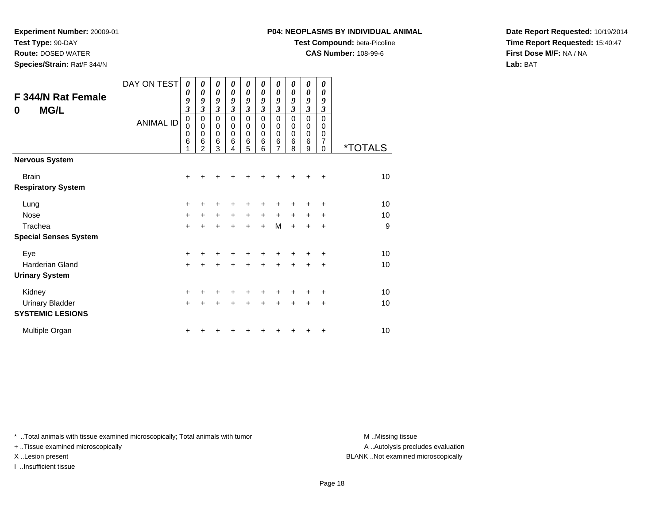**Test Type:** 90-DAY

**Route:** DOSED WATER

**Species/Strain:** Rat/F 344/N

#### **P04: NEOPLASMS BY INDIVIDUAL ANIMAL**

**Test Compound:** beta-Picoline

**CAS Number:** 108-99-6

**Date Report Requested:** 10/19/2014**Time Report Requested:** 15:40:47**First Dose M/F:** NA / NA**Lab:** BAT

| <b>F 344/N Rat Female</b><br><b>MG/L</b><br>0 | DAY ON TEST<br><b>ANIMAL ID</b> | 0<br>0<br>9<br>$\overline{\mathbf{3}}$<br>0<br>0<br>0<br>6 | 0<br>0<br>9<br>$\overline{\mathbf{3}}$<br>$\mathbf 0$<br>0<br>0<br>6<br>$\mathfrak{p}$ | 0<br>$\boldsymbol{\theta}$<br>9<br>$\overline{\mathbf{3}}$<br>$\mathbf 0$<br>0<br>0<br>6<br>3 | 0<br>0<br>9<br>3<br>$\Omega$<br>0<br>0<br>6<br>4 | 0<br>$\boldsymbol{\theta}$<br>9<br>$\mathfrak{z}$<br>$\pmb{0}$<br>$\mathbf 0$<br>$\mathbf 0$<br>$\,6$<br>5 | 0<br>0<br>9<br>3<br>$\mathbf 0$<br>0<br>$\mathbf 0$<br>6<br>6 | 0<br>0<br>9<br>3<br>0<br>0<br>0<br>$\,6$<br>7 | 0<br>0<br>9<br>3<br>$\Omega$<br>0<br>0<br>6<br>8 | 0<br>$\boldsymbol{\theta}$<br>9<br>$\boldsymbol{\mathfrak{z}}$<br>0<br>0<br>$\mathbf 0$<br>$\,6$<br>9 | 0<br>0<br>9<br>$\mathfrak{z}$<br>$\Omega$<br>0<br>0<br>7<br>$\Omega$ | <i><b>*TOTALS</b></i> |
|-----------------------------------------------|---------------------------------|------------------------------------------------------------|----------------------------------------------------------------------------------------|-----------------------------------------------------------------------------------------------|--------------------------------------------------|------------------------------------------------------------------------------------------------------------|---------------------------------------------------------------|-----------------------------------------------|--------------------------------------------------|-------------------------------------------------------------------------------------------------------|----------------------------------------------------------------------|-----------------------|
| <b>Nervous System</b>                         |                                 |                                                            |                                                                                        |                                                                                               |                                                  |                                                                                                            |                                                               |                                               |                                                  |                                                                                                       |                                                                      |                       |
| <b>Brain</b><br><b>Respiratory System</b>     |                                 | +                                                          |                                                                                        |                                                                                               |                                                  |                                                                                                            |                                                               |                                               |                                                  |                                                                                                       | $\ddot{}$                                                            | 10                    |
| Lung                                          |                                 | $\pm$                                                      |                                                                                        | +                                                                                             |                                                  |                                                                                                            |                                                               |                                               |                                                  |                                                                                                       | ٠                                                                    | 10                    |
| Nose                                          |                                 | +                                                          | +                                                                                      | $\ddot{}$                                                                                     | $\ddot{}$                                        | $\ddot{}$                                                                                                  | $\ddot{}$                                                     | $\ddot{}$                                     | $+$                                              | $\ddot{}$                                                                                             | $\ddot{}$                                                            | 10                    |
| Trachea                                       |                                 | $\ddot{}$                                                  |                                                                                        | $\ddot{}$                                                                                     | $\ddot{}$                                        | $+$                                                                                                        | $+$                                                           | M                                             | $\ddot{}$                                        | $\ddot{}$                                                                                             | $\ddot{}$                                                            | 9                     |
| <b>Special Senses System</b>                  |                                 |                                                            |                                                                                        |                                                                                               |                                                  |                                                                                                            |                                                               |                                               |                                                  |                                                                                                       |                                                                      |                       |
| Eye                                           |                                 | +                                                          |                                                                                        | +                                                                                             |                                                  |                                                                                                            |                                                               |                                               |                                                  |                                                                                                       | $\ddot{}$                                                            | 10                    |
| <b>Harderian Gland</b>                        |                                 | $\ddot{}$                                                  |                                                                                        | +                                                                                             | +                                                | $\ddot{}$                                                                                                  | $\ddot{}$                                                     | +                                             | $\ddot{}$                                        | +                                                                                                     | +                                                                    | 10                    |
| <b>Urinary System</b>                         |                                 |                                                            |                                                                                        |                                                                                               |                                                  |                                                                                                            |                                                               |                                               |                                                  |                                                                                                       |                                                                      |                       |
| Kidney                                        |                                 | +                                                          |                                                                                        | +                                                                                             |                                                  |                                                                                                            |                                                               | +                                             |                                                  |                                                                                                       | $\ddot{}$                                                            | 10                    |
| <b>Urinary Bladder</b>                        |                                 | $\ddot{}$                                                  |                                                                                        | $\ddot{}$                                                                                     | $\ddot{}$                                        | $\ddot{}$                                                                                                  | $\ddot{}$                                                     | $\ddot{}$                                     | $\ddot{}$                                        | $\ddot{}$                                                                                             | $\ddot{}$                                                            | 10                    |
| <b>SYSTEMIC LESIONS</b>                       |                                 |                                                            |                                                                                        |                                                                                               |                                                  |                                                                                                            |                                                               |                                               |                                                  |                                                                                                       |                                                                      |                       |
| Multiple Organ                                |                                 | +                                                          |                                                                                        |                                                                                               |                                                  |                                                                                                            |                                                               |                                               |                                                  |                                                                                                       | +                                                                    | 10                    |

\* ..Total animals with tissue examined microscopically; Total animals with tumor **M** . Missing tissue M ..Missing tissue

+ ..Tissue examined microscopically

I ..Insufficient tissue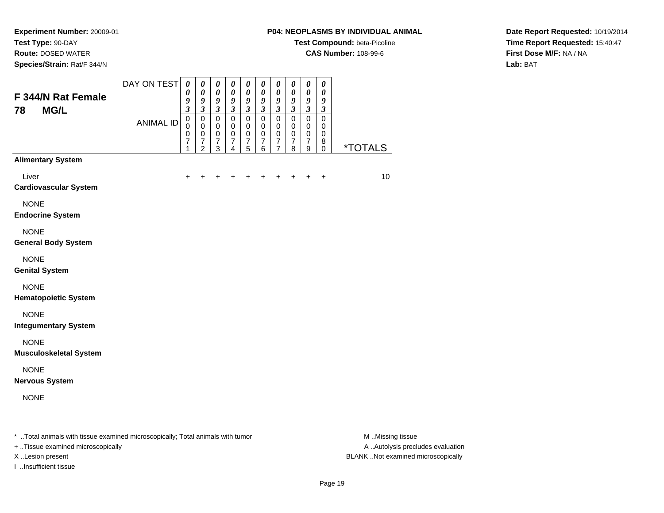**Test Type:** 90-DAY

**Route:** DOSED WATER

**Species/Strain:** Rat/F 344/N

## **P04: NEOPLASMS BY INDIVIDUAL ANIMAL**

**Test Compound:** beta-Picoline

**CAS Number:** 108-99-6

**Date Report Requested:** 10/19/2014**Time Report Requested:** 15:40:47**First Dose M/F:** NA / NA**Lab:** BAT

| F 344/N Rat Female<br><b>MG/L</b><br>78                                        | DAY ON TEST      | $\boldsymbol{\theta}$<br>0<br>9<br>$\mathfrak{z}$ | $\boldsymbol{\theta}$<br>0<br>9<br>$\mathfrak{z}$ | $\boldsymbol{\theta}$<br>$\pmb{\theta}$<br>9<br>$\mathfrak{z}$ | $\pmb{\theta}$<br>$\boldsymbol{\theta}$<br>9<br>$\mathfrak{z}$   | $\boldsymbol{\theta}$<br>0<br>9<br>$\mathfrak{z}$              | $\pmb{\theta}$<br>$\pmb{\theta}$<br>9<br>$\mathfrak{z}$          | $\boldsymbol{\theta}$<br>$\pmb{\theta}$<br>$\boldsymbol{g}$<br>$\mathfrak{z}$ | $\boldsymbol{\theta}$<br>0<br>9<br>$\boldsymbol{\mathfrak{z}}$ | $\pmb{\theta}$<br>$\pmb{\theta}$<br>$\boldsymbol{g}$<br>$\mathfrak{z}$        | $\boldsymbol{\theta}$<br>$\boldsymbol{\theta}$<br>$\boldsymbol{g}$<br>$\mathfrak{z}$ |                       |
|--------------------------------------------------------------------------------|------------------|---------------------------------------------------|---------------------------------------------------|----------------------------------------------------------------|------------------------------------------------------------------|----------------------------------------------------------------|------------------------------------------------------------------|-------------------------------------------------------------------------------|----------------------------------------------------------------|-------------------------------------------------------------------------------|--------------------------------------------------------------------------------------|-----------------------|
|                                                                                | <b>ANIMAL ID</b> | $\pmb{0}$<br>0<br>0<br>7<br>1                     | 0<br>0<br>0<br>$\boldsymbol{7}$<br>$\overline{c}$ | 0<br>$\mathbf 0$<br>$\pmb{0}$<br>$\overline{7}$<br>3           | $\mathbf 0$<br>$\mathbf 0$<br>$\mathbf 0$<br>7<br>$\overline{4}$ | $\mathbf 0$<br>$\mathbf 0$<br>$\pmb{0}$<br>$\overline{7}$<br>5 | $\mathbf 0$<br>$\mathbf 0$<br>$\pmb{0}$<br>$\boldsymbol{7}$<br>6 | $\mathbf 0$<br>$\mathbf 0$<br>$\mathbf 0$<br>$\overline{7}$<br>$\overline{7}$ | $\pmb{0}$<br>0<br>$\mathsf 0$<br>7<br>8                        | $\mathbf 0$<br>$\mathbf 0$<br>$\pmb{0}$<br>$\overline{7}$<br>$\boldsymbol{9}$ | $\mathbf 0$<br>0<br>$\pmb{0}$<br>8<br>$\mathbf 0$                                    | <i><b>*TOTALS</b></i> |
| <b>Alimentary System</b>                                                       |                  |                                                   |                                                   |                                                                |                                                                  |                                                                |                                                                  |                                                                               |                                                                |                                                                               |                                                                                      |                       |
| Liver<br><b>Cardiovascular System</b>                                          |                  | $\ddot{}$                                         | +                                                 | +                                                              | +                                                                | +                                                              | +                                                                | +                                                                             | +                                                              | +                                                                             | $\ddot{}$                                                                            | 10                    |
| <b>NONE</b><br><b>Endocrine System</b>                                         |                  |                                                   |                                                   |                                                                |                                                                  |                                                                |                                                                  |                                                                               |                                                                |                                                                               |                                                                                      |                       |
| <b>NONE</b><br><b>General Body System</b>                                      |                  |                                                   |                                                   |                                                                |                                                                  |                                                                |                                                                  |                                                                               |                                                                |                                                                               |                                                                                      |                       |
| <b>NONE</b><br><b>Genital System</b>                                           |                  |                                                   |                                                   |                                                                |                                                                  |                                                                |                                                                  |                                                                               |                                                                |                                                                               |                                                                                      |                       |
| <b>NONE</b><br><b>Hematopoietic System</b>                                     |                  |                                                   |                                                   |                                                                |                                                                  |                                                                |                                                                  |                                                                               |                                                                |                                                                               |                                                                                      |                       |
| <b>NONE</b><br><b>Integumentary System</b>                                     |                  |                                                   |                                                   |                                                                |                                                                  |                                                                |                                                                  |                                                                               |                                                                |                                                                               |                                                                                      |                       |
| <b>NONE</b><br><b>Musculoskeletal System</b>                                   |                  |                                                   |                                                   |                                                                |                                                                  |                                                                |                                                                  |                                                                               |                                                                |                                                                               |                                                                                      |                       |
| <b>NONE</b><br><b>Nervous System</b>                                           |                  |                                                   |                                                   |                                                                |                                                                  |                                                                |                                                                  |                                                                               |                                                                |                                                                               |                                                                                      |                       |
| <b>NONE</b>                                                                    |                  |                                                   |                                                   |                                                                |                                                                  |                                                                |                                                                  |                                                                               |                                                                |                                                                               |                                                                                      |                       |
| * Total animals with tissue examined microscopically; Total animals with tumor |                  |                                                   |                                                   |                                                                |                                                                  |                                                                |                                                                  |                                                                               |                                                                |                                                                               |                                                                                      | M Missing tissue      |

+ ..Tissue examined microscopically

I ..Insufficient tissue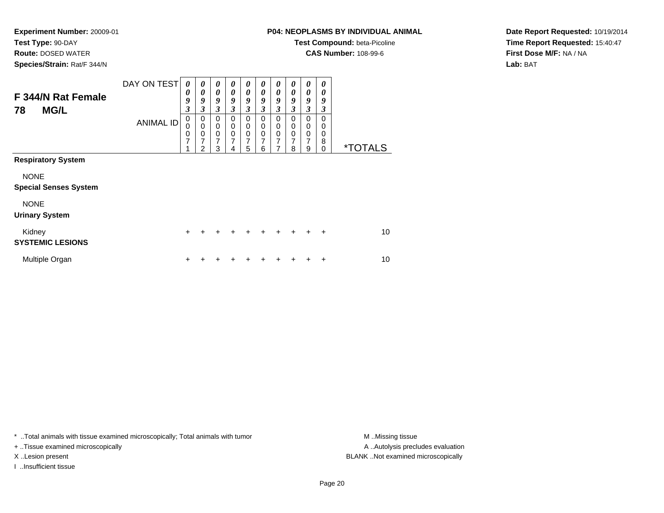**Test Type:** 90-DAY

**Route:** DOSED WATER

**Species/Strain:** Rat/F 344/N

# **P04: NEOPLASMS BY INDIVIDUAL ANIMAL**

**Test Compound:** beta-Picoline

**CAS Number:** 108-99-6

**Date Report Requested:** 10/19/2014**Time Report Requested:** 15:40:47**First Dose M/F:** NA / NA**Lab:** BAT

| F 344/N Rat Female<br><b>MG/L</b><br>78     | DAY ON TEST      | 0<br>0<br>9<br>3 | 0<br>$\boldsymbol{\theta}$<br>9<br>3      | 0<br>$\boldsymbol{\theta}$<br>9<br>3                           | $\boldsymbol{\theta}$<br>0<br>9<br>3      | 0<br>$\boldsymbol{\theta}$<br>9<br>$\mathfrak{z}$    | 0<br>$\boldsymbol{\theta}$<br>9<br>3 | 0<br>$\boldsymbol{\theta}$<br>9<br>3 | 0<br>0<br>9<br>3             | $\boldsymbol{\theta}$<br>$\boldsymbol{\theta}$<br>9<br>$\mathfrak{z}$ | 0<br>0<br>9<br>$\boldsymbol{\beta}$ |                       |
|---------------------------------------------|------------------|------------------|-------------------------------------------|----------------------------------------------------------------|-------------------------------------------|------------------------------------------------------|--------------------------------------|--------------------------------------|------------------------------|-----------------------------------------------------------------------|-------------------------------------|-----------------------|
|                                             | <b>ANIMAL ID</b> | 0<br>0<br>0<br>7 | 0<br>$\mathbf 0$<br>$\mathbf 0$<br>7<br>2 | $\mathbf 0$<br>$\mathbf 0$<br>$\pmb{0}$<br>$\overline{7}$<br>3 | 0<br>$\mathbf 0$<br>$\mathbf 0$<br>7<br>4 | 0<br>$\mathbf 0$<br>$\pmb{0}$<br>$\overline{7}$<br>5 | 0<br>0<br>0<br>7<br>6                | 0<br>0<br>0<br>7<br>7                | $\Omega$<br>0<br>0<br>7<br>8 | 0<br>$\pmb{0}$<br>$\,0\,$<br>$\overline{7}$<br>9                      | 0<br>0<br>0<br>8<br>0               | <i><b>*TOTALS</b></i> |
| <b>Respiratory System</b>                   |                  |                  |                                           |                                                                |                                           |                                                      |                                      |                                      |                              |                                                                       |                                     |                       |
| <b>NONE</b><br><b>Special Senses System</b> |                  |                  |                                           |                                                                |                                           |                                                      |                                      |                                      |                              |                                                                       |                                     |                       |
| <b>NONE</b><br><b>Urinary System</b>        |                  |                  |                                           |                                                                |                                           |                                                      |                                      |                                      |                              |                                                                       |                                     |                       |
| Kidney<br><b>SYSTEMIC LESIONS</b>           |                  | $\pm$            | ٠                                         | ÷                                                              | $\ddot{}$                                 | $\ddot{}$                                            | $\ddot{}$                            | $\pm$                                | $\ddot{}$                    | $\ddot{}$                                                             | ÷                                   | 10                    |
| Multiple Organ                              |                  | ٠                |                                           |                                                                |                                           |                                                      |                                      | ٠                                    |                              |                                                                       | ÷                                   | 10                    |

\* ..Total animals with tissue examined microscopically; Total animals with tumor **M** . Missing tissue M ..Missing tissue

+ ..Tissue examined microscopically

I ..Insufficient tissue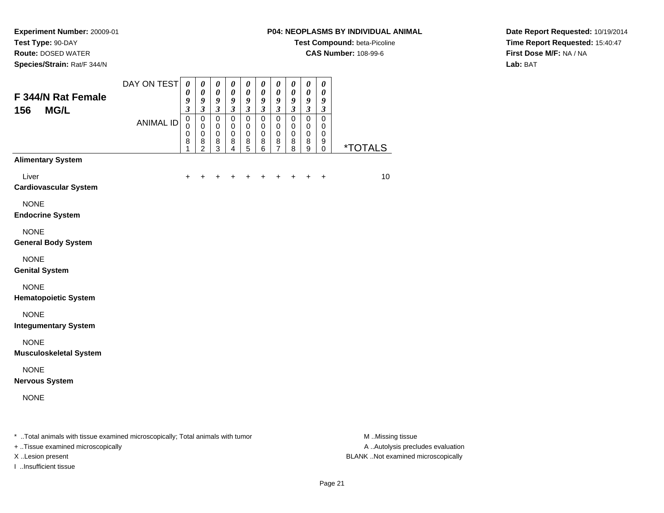**Test Type:** 90-DAY

**Route:** DOSED WATER

**Species/Strain:** Rat/F 344/N

#### **P04: NEOPLASMS BY INDIVIDUAL ANIMAL**

**Test Compound:** beta-Picoline

**CAS Number:** 108-99-6

**Date Report Requested:** 10/19/2014**Time Report Requested:** 15:40:47**First Dose M/F:** NA / NA**Lab:** BAT

| F 344/N Rat Female<br><b>MG/L</b><br>156                                       | DAY ON TEST<br><b>ANIMAL ID</b> | $\boldsymbol{\theta}$<br>0<br>9<br>$\overline{\mathbf{3}}$<br>$\mathbf 0$<br>$\Omega$ | 0<br>$\boldsymbol{\theta}$<br>9<br>$\mathfrak{z}$<br>$\pmb{0}$<br>$\mathbf 0$ | $\boldsymbol{\theta}$<br>$\boldsymbol{\theta}$<br>9<br>$\mathfrak{z}$<br>$\pmb{0}$<br>$\mathbf 0$ | $\boldsymbol{\theta}$<br>0<br>9<br>$\mathfrak{z}$<br>$\pmb{0}$<br>$\Omega$ | 0<br>0<br>9<br>$\overline{\mathbf{3}}$<br>0<br>$\mathbf 0$ | 0<br>$\boldsymbol{\theta}$<br>9<br>$\mathfrak{z}$<br>$\mathsf 0$<br>$\mathbf 0$ | 0<br>$\pmb{\theta}$<br>9<br>$\overline{\mathbf{3}}$<br>$\mathbf 0$<br>$\mathbf 0$ | $\pmb{\theta}$<br>$\pmb{\theta}$<br>9<br>$\mathfrak{z}$<br>$\pmb{0}$<br>$\mathbf 0$ | $\pmb{\theta}$<br>$\pmb{\theta}$<br>9<br>$\overline{\mathbf{3}}$<br>$\mathsf 0$<br>$\mathbf 0$ | 0<br>0<br>9<br>$\mathfrak{z}$<br>$\mathsf 0$<br>$\mathbf 0$ |                       |
|--------------------------------------------------------------------------------|---------------------------------|---------------------------------------------------------------------------------------|-------------------------------------------------------------------------------|---------------------------------------------------------------------------------------------------|----------------------------------------------------------------------------|------------------------------------------------------------|---------------------------------------------------------------------------------|-----------------------------------------------------------------------------------|-------------------------------------------------------------------------------------|------------------------------------------------------------------------------------------------|-------------------------------------------------------------|-----------------------|
|                                                                                |                                 | $\mathbf 0$<br>8<br>1                                                                 | $\mathbf 0$<br>8<br>$\overline{c}$                                            | $\mathbf 0$<br>8<br>$\overline{3}$                                                                | $\mathbf 0$<br>8<br>$\overline{4}$                                         | 0<br>8<br>$\overline{5}$                                   | $\mathbf 0$<br>8<br>6                                                           | 0<br>8<br>$\overline{7}$                                                          | 0<br>8<br>8                                                                         | 0<br>8<br>9                                                                                    | $\mathbf 0$<br>9<br>$\pmb{0}$                               | <i><b>*TOTALS</b></i> |
| <b>Alimentary System</b>                                                       |                                 |                                                                                       |                                                                               |                                                                                                   |                                                                            |                                                            |                                                                                 |                                                                                   |                                                                                     |                                                                                                |                                                             |                       |
| Liver<br><b>Cardiovascular System</b>                                          |                                 | +                                                                                     | +                                                                             |                                                                                                   |                                                                            |                                                            |                                                                                 |                                                                                   |                                                                                     | $\div$                                                                                         | $\ddot{}$                                                   | 10                    |
| <b>NONE</b><br><b>Endocrine System</b>                                         |                                 |                                                                                       |                                                                               |                                                                                                   |                                                                            |                                                            |                                                                                 |                                                                                   |                                                                                     |                                                                                                |                                                             |                       |
| <b>NONE</b><br><b>General Body System</b>                                      |                                 |                                                                                       |                                                                               |                                                                                                   |                                                                            |                                                            |                                                                                 |                                                                                   |                                                                                     |                                                                                                |                                                             |                       |
| <b>NONE</b><br><b>Genital System</b>                                           |                                 |                                                                                       |                                                                               |                                                                                                   |                                                                            |                                                            |                                                                                 |                                                                                   |                                                                                     |                                                                                                |                                                             |                       |
| <b>NONE</b><br><b>Hematopoietic System</b>                                     |                                 |                                                                                       |                                                                               |                                                                                                   |                                                                            |                                                            |                                                                                 |                                                                                   |                                                                                     |                                                                                                |                                                             |                       |
| <b>NONE</b><br><b>Integumentary System</b>                                     |                                 |                                                                                       |                                                                               |                                                                                                   |                                                                            |                                                            |                                                                                 |                                                                                   |                                                                                     |                                                                                                |                                                             |                       |
| <b>NONE</b><br><b>Musculoskeletal System</b>                                   |                                 |                                                                                       |                                                                               |                                                                                                   |                                                                            |                                                            |                                                                                 |                                                                                   |                                                                                     |                                                                                                |                                                             |                       |
| <b>NONE</b><br><b>Nervous System</b>                                           |                                 |                                                                                       |                                                                               |                                                                                                   |                                                                            |                                                            |                                                                                 |                                                                                   |                                                                                     |                                                                                                |                                                             |                       |
| <b>NONE</b>                                                                    |                                 |                                                                                       |                                                                               |                                                                                                   |                                                                            |                                                            |                                                                                 |                                                                                   |                                                                                     |                                                                                                |                                                             |                       |
| * Total animals with tissue examined microscopically; Total animals with tumor |                                 |                                                                                       |                                                                               |                                                                                                   |                                                                            |                                                            |                                                                                 |                                                                                   |                                                                                     |                                                                                                |                                                             | M Missing tissue      |

+ ..Tissue examined microscopically

I ..Insufficient tissue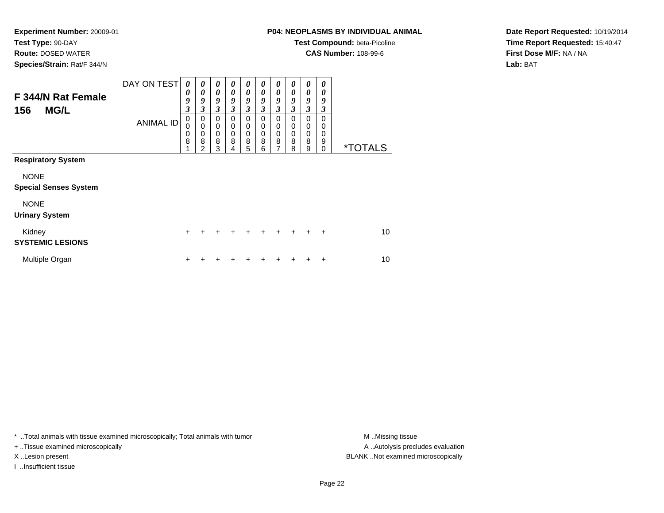**Test Type:** 90-DAY

**Route:** DOSED WATER

**Species/Strain:** Rat/F 344/N

# **P04: NEOPLASMS BY INDIVIDUAL ANIMAL**

**Test Compound:** beta-Picoline

**CAS Number:** 108-99-6

**Date Report Requested:** 10/19/2014**Time Report Requested:** 15:40:47**First Dose M/F:** NA / NA**Lab:** BAT

| F 344/N Rat Female<br><b>MG/L</b><br>156    | DAY ON TEST<br><b>ANIMAL ID</b> | 0<br>0<br>9<br>$\boldsymbol{\beta}$<br>$\mathbf 0$<br>$\mathbf 0$<br>0 | 0<br>$\boldsymbol{\theta}$<br>9<br>$\mathfrak{z}$<br>0<br>$\mathbf 0$<br>$\mathbf 0$ | 0<br>$\boldsymbol{\theta}$<br>9<br>$\mathfrak{z}$<br>0<br>$\mathbf 0$<br>$\pmb{0}$ | 0<br>0<br>9<br>3<br>$\Omega$<br>0<br>0 | 0<br>$\boldsymbol{\theta}$<br>9<br>3<br>0<br>0<br>0 | 0<br>0<br>9<br>$\boldsymbol{\beta}$<br>$\Omega$<br>0<br>0 | 0<br>0<br>9<br>$\boldsymbol{\beta}$<br>0<br>0<br>0 | 0<br>0<br>9<br>3<br>$\Omega$<br>0<br>$\mathbf 0$ | 0<br>0<br>9<br>3<br>0<br>0<br>0 | 0<br>0<br>9<br>3<br>$\Omega$<br>$\Omega$<br>0 |                       |
|---------------------------------------------|---------------------------------|------------------------------------------------------------------------|--------------------------------------------------------------------------------------|------------------------------------------------------------------------------------|----------------------------------------|-----------------------------------------------------|-----------------------------------------------------------|----------------------------------------------------|--------------------------------------------------|---------------------------------|-----------------------------------------------|-----------------------|
|                                             |                                 | 8                                                                      | 8<br>$\mathfrak{p}$                                                                  | 8<br>3                                                                             | 8<br>4                                 | 8<br>5                                              | 8<br>6                                                    | 8<br>7                                             | 8<br>8                                           | 8<br>9                          | 9<br>$\Omega$                                 | <i><b>*TOTALS</b></i> |
| <b>Respiratory System</b>                   |                                 |                                                                        |                                                                                      |                                                                                    |                                        |                                                     |                                                           |                                                    |                                                  |                                 |                                               |                       |
| <b>NONE</b><br><b>Special Senses System</b> |                                 |                                                                        |                                                                                      |                                                                                    |                                        |                                                     |                                                           |                                                    |                                                  |                                 |                                               |                       |
| <b>NONE</b><br><b>Urinary System</b>        |                                 |                                                                        |                                                                                      |                                                                                    |                                        |                                                     |                                                           |                                                    |                                                  |                                 |                                               |                       |
| Kidney<br><b>SYSTEMIC LESIONS</b>           |                                 | $\ddot{}$                                                              | +                                                                                    | ÷                                                                                  | $\ddot{}$                              | +                                                   | $\ddot{}$                                                 | $\ddot{}$                                          | $\div$                                           | ÷                               | $\ddot{}$                                     | 10                    |
| Multiple Organ                              |                                 | +                                                                      |                                                                                      |                                                                                    |                                        | ٠                                                   |                                                           |                                                    |                                                  |                                 | ٠                                             | 10                    |

\* ..Total animals with tissue examined microscopically; Total animals with tumor **M** . Missing tissue M ..Missing tissue

+ ..Tissue examined microscopically

I ..Insufficient tissue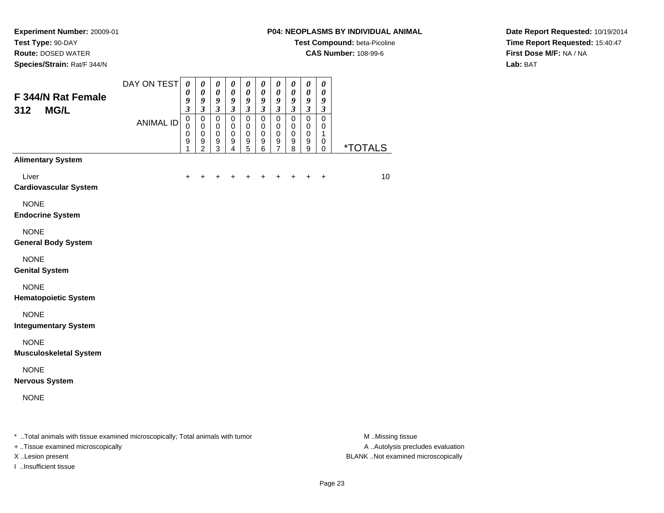**Test Type:** 90-DAY

**Route:** DOSED WATER

**Species/Strain:** Rat/F 344/N

#### **P04: NEOPLASMS BY INDIVIDUAL ANIMAL**

**Test Compound:** beta-Picoline

**CAS Number:** 108-99-6

**Date Report Requested:** 10/19/2014**Time Report Requested:** 15:40:47**First Dose M/F:** NA / NA**Lab:** BAT

| F 344/N Rat Female<br>312<br><b>MG/L</b>                                       | DAY ON TEST      | $\boldsymbol{\theta}$<br>0<br>9<br>$\mathfrak{z}$ | 0<br>$\boldsymbol{\theta}$<br>9<br>$\mathfrak{z}$            | 0<br>$\boldsymbol{\theta}$<br>9<br>$\mathfrak{z}$                             | 0<br>$\boldsymbol{\theta}$<br>9<br>$\mathfrak{z}$                | 0<br>0<br>9<br>$\mathfrak{z}$                     | 0<br>$\boldsymbol{\theta}$<br>9<br>$\mathfrak{z}$   | 0<br>$\boldsymbol{\theta}$<br>9<br>$\mathfrak{z}$              | $\boldsymbol{\theta}$<br>$\pmb{\theta}$<br>9<br>$\mathfrak{z}$ | $\pmb{\theta}$<br>$\pmb{\theta}$<br>9<br>$\overline{\mathbf{3}}$ | 0<br>$\boldsymbol{\theta}$<br>9<br>$\boldsymbol{\beta}$ |                       |
|--------------------------------------------------------------------------------|------------------|---------------------------------------------------|--------------------------------------------------------------|-------------------------------------------------------------------------------|------------------------------------------------------------------|---------------------------------------------------|-----------------------------------------------------|----------------------------------------------------------------|----------------------------------------------------------------|------------------------------------------------------------------|---------------------------------------------------------|-----------------------|
|                                                                                | <b>ANIMAL ID</b> | $\pmb{0}$<br>$\Omega$<br>0<br>9<br>1              | $\pmb{0}$<br>$\mathbf 0$<br>$\pmb{0}$<br>9<br>$\overline{2}$ | $\mathsf 0$<br>$\mathbf 0$<br>$\pmb{0}$<br>$\boldsymbol{9}$<br>$\overline{3}$ | $\mathbf 0$<br>$\mathbf 0$<br>$\mathbf 0$<br>9<br>$\overline{4}$ | $\mathsf 0$<br>$\mathbf 0$<br>$\pmb{0}$<br>9<br>5 | $\mathbf 0$<br>$\mathbf 0$<br>$\mathbf 0$<br>9<br>6 | $\mathbf 0$<br>$\mathbf 0$<br>$\pmb{0}$<br>9<br>$\overline{7}$ | $\mathbf 0$<br>$\mathbf 0$<br>$\pmb{0}$<br>9<br>8              | $\mathbf 0$<br>$\mathbf 0$<br>$\pmb{0}$<br>9<br>9                | $\mathbf 0$<br>$\mathbf 0$<br>1<br>0<br>0               | <i><b>*TOTALS</b></i> |
| <b>Alimentary System</b>                                                       |                  |                                                   |                                                              |                                                                               |                                                                  |                                                   |                                                     |                                                                |                                                                |                                                                  |                                                         |                       |
| Liver<br><b>Cardiovascular System</b>                                          |                  | $\ddot{}$                                         |                                                              |                                                                               |                                                                  |                                                   |                                                     |                                                                |                                                                | $\div$                                                           | $\ddot{}$                                               | 10                    |
| <b>NONE</b><br><b>Endocrine System</b>                                         |                  |                                                   |                                                              |                                                                               |                                                                  |                                                   |                                                     |                                                                |                                                                |                                                                  |                                                         |                       |
| <b>NONE</b><br><b>General Body System</b>                                      |                  |                                                   |                                                              |                                                                               |                                                                  |                                                   |                                                     |                                                                |                                                                |                                                                  |                                                         |                       |
| <b>NONE</b><br><b>Genital System</b>                                           |                  |                                                   |                                                              |                                                                               |                                                                  |                                                   |                                                     |                                                                |                                                                |                                                                  |                                                         |                       |
| <b>NONE</b><br><b>Hematopoietic System</b>                                     |                  |                                                   |                                                              |                                                                               |                                                                  |                                                   |                                                     |                                                                |                                                                |                                                                  |                                                         |                       |
| <b>NONE</b><br><b>Integumentary System</b>                                     |                  |                                                   |                                                              |                                                                               |                                                                  |                                                   |                                                     |                                                                |                                                                |                                                                  |                                                         |                       |
| <b>NONE</b><br><b>Musculoskeletal System</b>                                   |                  |                                                   |                                                              |                                                                               |                                                                  |                                                   |                                                     |                                                                |                                                                |                                                                  |                                                         |                       |
| <b>NONE</b><br><b>Nervous System</b>                                           |                  |                                                   |                                                              |                                                                               |                                                                  |                                                   |                                                     |                                                                |                                                                |                                                                  |                                                         |                       |
| <b>NONE</b>                                                                    |                  |                                                   |                                                              |                                                                               |                                                                  |                                                   |                                                     |                                                                |                                                                |                                                                  |                                                         |                       |
| * Total animals with tissue examined microscopically; Total animals with tumor |                  |                                                   |                                                              |                                                                               |                                                                  |                                                   |                                                     |                                                                |                                                                |                                                                  |                                                         | M Missing tissue      |

+ ..Tissue examined microscopically

I ..Insufficient tissue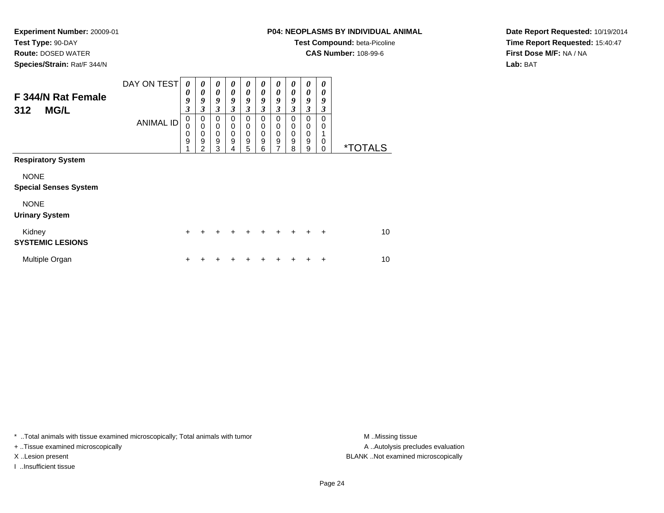**Test Type:** 90-DAY

**Route:** DOSED WATER

**Species/Strain:** Rat/F 344/N

# **P04: NEOPLASMS BY INDIVIDUAL ANIMAL**

**Test Compound:** beta-Picoline

**CAS Number:** 108-99-6

**Date Report Requested:** 10/19/2014**Time Report Requested:** 15:40:47**First Dose M/F:** NA / NA**Lab:** BAT

| F 344/N Rat Female<br><b>MG/L</b><br>312    | DAY ON TEST<br><b>ANIMAL ID</b> | $\boldsymbol{\theta}$<br>$\boldsymbol{\theta}$<br>9<br>$\mathfrak{z}$<br>$\pmb{0}$<br>0 | $\boldsymbol{\theta}$<br>$\boldsymbol{\theta}$<br>9<br>$\mathfrak{z}$<br>0<br>$\mathbf 0$ | $\boldsymbol{\theta}$<br>$\boldsymbol{\theta}$<br>9<br>3<br>0<br>$\mathbf 0$ | 0<br>0<br>9<br>3<br>0<br>0 | 0<br>0<br>9<br>3<br>0<br>0 | 0<br>$\boldsymbol{\theta}$<br>9<br>3<br>$\Omega$<br>0 | 0<br>$\boldsymbol{\theta}$<br>9<br>$\mathfrak{z}$<br>0<br>$\mathbf 0$ | 0<br>0<br>9<br>3<br>0<br>0 | 0<br>0<br>9<br>3<br>0<br>0 | 0<br>0<br>9<br>3<br>$\Omega$<br>$\Omega$ |                       |
|---------------------------------------------|---------------------------------|-----------------------------------------------------------------------------------------|-------------------------------------------------------------------------------------------|------------------------------------------------------------------------------|----------------------------|----------------------------|-------------------------------------------------------|-----------------------------------------------------------------------|----------------------------|----------------------------|------------------------------------------|-----------------------|
|                                             |                                 | 0<br>9                                                                                  | $\mathbf 0$<br>9<br>2                                                                     | $\mathbf 0$<br>9<br>3                                                        | 0<br>9<br>4                | 0<br>9<br>5                | 0<br>9<br>6                                           | $\mathbf 0$<br>$\boldsymbol{9}$<br>7                                  | 0<br>9<br>8                | 0<br>9<br>9                | $\Omega$<br>$\Omega$                     | <i><b>*TOTALS</b></i> |
| <b>Respiratory System</b>                   |                                 |                                                                                         |                                                                                           |                                                                              |                            |                            |                                                       |                                                                       |                            |                            |                                          |                       |
| <b>NONE</b><br><b>Special Senses System</b> |                                 |                                                                                         |                                                                                           |                                                                              |                            |                            |                                                       |                                                                       |                            |                            |                                          |                       |
| <b>NONE</b><br><b>Urinary System</b>        |                                 |                                                                                         |                                                                                           |                                                                              |                            |                            |                                                       |                                                                       |                            |                            |                                          |                       |
| Kidney<br><b>SYSTEMIC LESIONS</b>           |                                 | +                                                                                       | +                                                                                         | ٠                                                                            | $\ddot{}$                  | +                          | $\ddot{}$                                             | ÷                                                                     | $+$                        | ÷                          | $\ddot{}$                                | 10                    |
| Multiple Organ                              |                                 | ٠                                                                                       |                                                                                           |                                                                              |                            |                            |                                                       |                                                                       |                            |                            | ٠                                        | 10                    |

\* ..Total animals with tissue examined microscopically; Total animals with tumor **M** . Missing tissue M ..Missing tissue

+ ..Tissue examined microscopically

I ..Insufficient tissue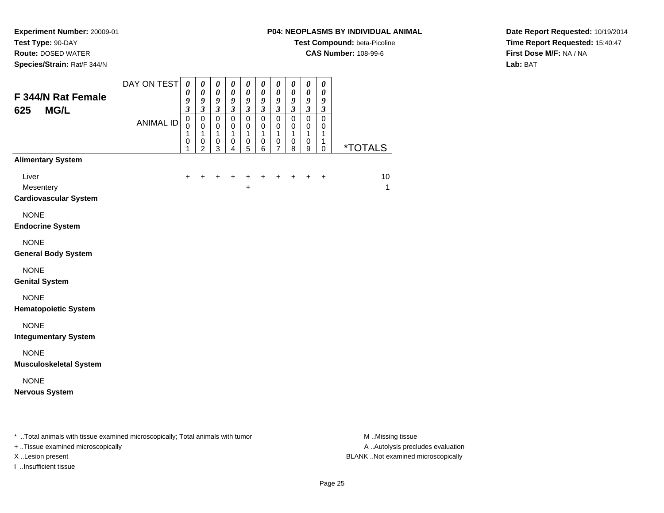**Test Type:** 90-DAY

**Route:** DOSED WATER

**Species/Strain:** Rat/F 344/N

## **P04: NEOPLASMS BY INDIVIDUAL ANIMAL**

**Test Compound:** beta-Picoline

**CAS Number:** 108-99-6

**Date Report Requested:** 10/19/2014**Time Report Requested:** 15:40:47**First Dose M/F:** NA / NA**Lab:** BAT

| <b>Alimentary System</b><br>Liver<br>$\ddot{}$<br>$\ddot{}$<br>+<br>$\ddot{}$<br>+<br>+<br>$\ddot{}$<br>$\ddot{}$<br>$\ddot{}$<br>+<br>Mesentery<br>+<br><b>Cardiovascular System</b><br><b>NONE</b><br><b>Endocrine System</b><br><b>NONE</b><br><b>General Body System</b><br><b>NONE</b><br><b>Genital System</b><br><b>NONE</b><br><b>Hematopoietic System</b><br><b>NONE</b><br><b>Integumentary System</b> | F 344/N Rat Female<br><b>MG/L</b><br>625 | DAY ON TEST<br><b>ANIMAL ID</b> | $\boldsymbol{\theta}$<br>0<br>9<br>$\overline{\mathbf{3}}$<br>$\mathbf 0$<br>$\mathbf 0$<br>1<br>$\pmb{0}$<br>1 | $\boldsymbol{\theta}$<br>$\boldsymbol{\theta}$<br>9<br>$\mathfrak{z}$<br>$\pmb{0}$<br>$\pmb{0}$<br>$\mathbf{1}$<br>$\pmb{0}$<br>2 | $\boldsymbol{\theta}$<br>$\pmb{\theta}$<br>$\pmb{9}$<br>$\overline{\mathbf{3}}$<br>$\pmb{0}$<br>$\pmb{0}$<br>$\mathbf{1}$<br>$\pmb{0}$<br>3 | $\boldsymbol{\theta}$<br>$\pmb{\theta}$<br>9<br>$\overline{\mathbf{3}}$<br>$\mathbf 0$<br>$\mathbf 0$<br>$\mathbf{1}$<br>$\pmb{0}$<br>4 | $\pmb{\theta}$<br>$\pmb{\theta}$<br>$\pmb{9}$<br>$\overline{\mathbf{3}}$<br>$\pmb{0}$<br>$\pmb{0}$<br>$\mathbf{1}$<br>$\pmb{0}$<br>5 | $\pmb{\theta}$<br>$\boldsymbol{\theta}$<br>9<br>$\overline{\mathbf{3}}$<br>$\mathbf 0$<br>$\mathbf 0$<br>$\mathbf{1}$<br>$\mathbf 0$<br>6 | $\boldsymbol{\theta}$<br>$\pmb{\theta}$<br>9<br>$\mathfrak{z}$<br>$\pmb{0}$<br>0<br>1<br>$\pmb{0}$<br>$\overline{7}$ | $\pmb{\theta}$<br>$\boldsymbol{\theta}$<br>9<br>$\overline{\mathbf{3}}$<br>$\pmb{0}$<br>$\mathbf 0$<br>$\mathbf{1}$<br>$\mathbf 0$<br>8 | 0<br>$\pmb{\theta}$<br>9<br>$\overline{\mathbf{3}}$<br>0<br>0<br>1<br>0<br>9 | $\pmb{\theta}$<br>$\boldsymbol{\theta}$<br>9<br>$\mathfrak{z}$<br>$\mathbf 0$<br>0<br>1<br>1<br>0 | <i><b>*TOTALS</b></i> |
|------------------------------------------------------------------------------------------------------------------------------------------------------------------------------------------------------------------------------------------------------------------------------------------------------------------------------------------------------------------------------------------------------------------|------------------------------------------|---------------------------------|-----------------------------------------------------------------------------------------------------------------|-----------------------------------------------------------------------------------------------------------------------------------|---------------------------------------------------------------------------------------------------------------------------------------------|-----------------------------------------------------------------------------------------------------------------------------------------|--------------------------------------------------------------------------------------------------------------------------------------|-------------------------------------------------------------------------------------------------------------------------------------------|----------------------------------------------------------------------------------------------------------------------|-----------------------------------------------------------------------------------------------------------------------------------------|------------------------------------------------------------------------------|---------------------------------------------------------------------------------------------------|-----------------------|
|                                                                                                                                                                                                                                                                                                                                                                                                                  |                                          |                                 |                                                                                                                 |                                                                                                                                   |                                                                                                                                             |                                                                                                                                         |                                                                                                                                      |                                                                                                                                           |                                                                                                                      |                                                                                                                                         |                                                                              |                                                                                                   | 10<br>$\mathbf{1}$    |
|                                                                                                                                                                                                                                                                                                                                                                                                                  |                                          |                                 |                                                                                                                 |                                                                                                                                   |                                                                                                                                             |                                                                                                                                         |                                                                                                                                      |                                                                                                                                           |                                                                                                                      |                                                                                                                                         |                                                                              |                                                                                                   |                       |
|                                                                                                                                                                                                                                                                                                                                                                                                                  |                                          |                                 |                                                                                                                 |                                                                                                                                   |                                                                                                                                             |                                                                                                                                         |                                                                                                                                      |                                                                                                                                           |                                                                                                                      |                                                                                                                                         |                                                                              |                                                                                                   |                       |
| <b>NONE</b><br><b>Musculoskeletal System</b><br><b>NONE</b><br><b>Nervous System</b>                                                                                                                                                                                                                                                                                                                             |                                          |                                 |                                                                                                                 |                                                                                                                                   |                                                                                                                                             |                                                                                                                                         |                                                                                                                                      |                                                                                                                                           |                                                                                                                      |                                                                                                                                         |                                                                              |                                                                                                   |                       |

\* ..Total animals with tissue examined microscopically; Total animals with tumor **M** . Missing tissue M ..Missing tissue

+ ..Tissue examined microscopically

I ..Insufficient tissue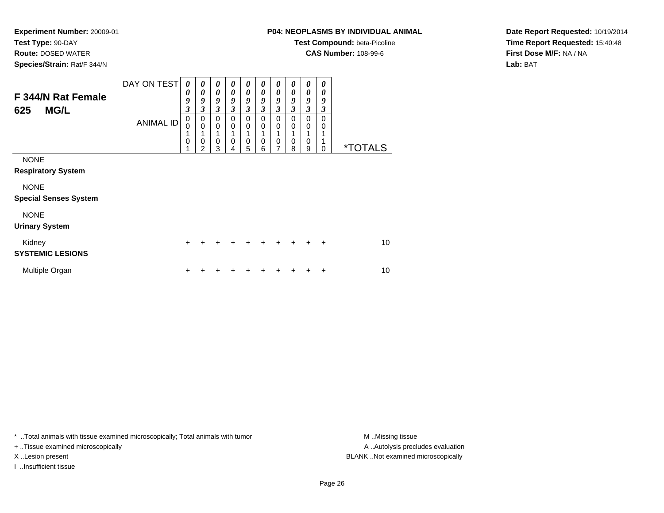**Route:** DOSED WATER

**Species/Strain:** Rat/F 344/N

# **P04: NEOPLASMS BY INDIVIDUAL ANIMAL**

**Test Compound:** beta-Picoline

**CAS Number:** 108-99-6

**Date Report Requested:** 10/19/2014**Time Report Requested:** 15:40:48**First Dose M/F:** NA / NA**Lab:** BAT

| F 344/N Rat Female<br><b>MG/L</b><br>625    | DAY ON TEST<br><b>ANIMAL ID</b> | 0<br>0<br>9<br>$\boldsymbol{\beta}$<br>$\mathbf 0$ | 0<br>0<br>9<br>$\boldsymbol{\beta}$<br>$\pmb{0}$ | 0<br>$\boldsymbol{\theta}$<br>9<br>$\mathfrak{z}$<br>$\mathbf 0$ | 0<br>0<br>9<br>$\mathfrak{z}$<br>$\mathbf 0$ | 0<br>0<br>9<br>$\mathfrak{z}$<br>$\mathbf 0$ | 0<br>0<br>9<br>3<br>$\mathbf 0$ | 0<br>0<br>9<br>$\overline{\mathbf{3}}$<br>$\mathbf 0$ | 0<br>0<br>9<br>3<br>$\mathbf 0$ | 0<br>0<br>9<br>3<br>$\Omega$ | 0<br>0<br>9<br>3<br>$\Omega$ |                       |
|---------------------------------------------|---------------------------------|----------------------------------------------------|--------------------------------------------------|------------------------------------------------------------------|----------------------------------------------|----------------------------------------------|---------------------------------|-------------------------------------------------------|---------------------------------|------------------------------|------------------------------|-----------------------|
|                                             |                                 | $\Omega$<br>1<br>$\mathbf 0$                       | $\mathbf 0$<br>1<br>$\mathbf 0$<br>2             | $\mathbf 0$<br>1<br>$\mathbf 0$<br>3                             | $\mathbf 0$<br>1<br>$\mathbf 0$<br>4         | $\mathbf 0$<br>$\mathbf 0$<br>5              | $\mathbf 0$<br>0<br>6           | $\mathbf 0$<br>$\mathbf 0$<br>7                       | 0<br>0<br>8                     | $\Omega$<br>0<br>9           | 0<br>1<br>$\Omega$           | <i><b>*TOTALS</b></i> |
| <b>NONE</b><br><b>Respiratory System</b>    |                                 |                                                    |                                                  |                                                                  |                                              |                                              |                                 |                                                       |                                 |                              |                              |                       |
| <b>NONE</b><br><b>Special Senses System</b> |                                 |                                                    |                                                  |                                                                  |                                              |                                              |                                 |                                                       |                                 |                              |                              |                       |
| <b>NONE</b><br><b>Urinary System</b>        |                                 |                                                    |                                                  |                                                                  |                                              |                                              |                                 |                                                       |                                 |                              |                              |                       |
| Kidney<br><b>SYSTEMIC LESIONS</b>           |                                 | $\ddot{}$                                          | +                                                |                                                                  |                                              | $\div$                                       | ÷                               | $\ddot{}$                                             | $\div$                          | $\ddot{}$                    | $\ddot{}$                    | 10                    |
| Multiple Organ                              |                                 | ÷                                                  |                                                  |                                                                  |                                              |                                              |                                 |                                                       |                                 |                              | +                            | 10                    |

\* ..Total animals with tissue examined microscopically; Total animals with tumor **M** . Missing tissue M ..Missing tissue

+ ..Tissue examined microscopically

I ..Insufficient tissue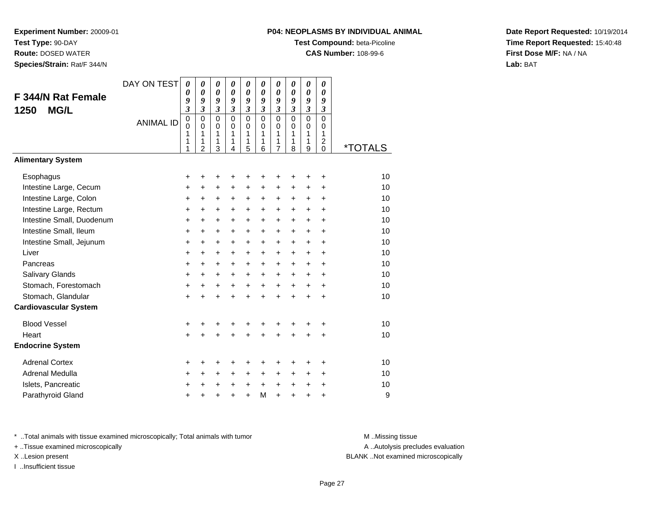**Route:** DOSED WATER

**Species/Strain:** Rat/F 344/N

# **P04: NEOPLASMS BY INDIVIDUAL ANIMAL**

**Test Compound:** beta-Picoline

**CAS Number:** 108-99-6

**Date Report Requested:** 10/19/2014**Time Report Requested:** 15:40:48**First Dose M/F:** NA / NA**Lab:** BAT

| F 344/N Rat Female<br><b>MG/L</b><br>1250 | DAY ON TEST<br><b>ANIMAL ID</b> | 0<br>0<br>9<br>$\mathfrak{z}$<br>$\mathbf 0$<br>$\mathbf 0$<br>1<br>1<br>1 | 0<br>0<br>9<br>3<br>$\mathbf 0$<br>$\Omega$<br>1<br>1<br>$\overline{2}$ | $\boldsymbol{\theta}$<br>$\boldsymbol{\theta}$<br>9<br>$\mathfrak{z}$<br>$\mathbf 0$<br>0<br>1<br>1<br>3 | 0<br>0<br>9<br>$\mathfrak{z}$<br>$\overline{0}$<br>$\Omega$<br>$\mathbf{1}$<br>1<br>4 | 0<br>0<br>9<br>3<br>$\overline{0}$<br>0<br>1<br>1<br>5 | 0<br>$\boldsymbol{\theta}$<br>9<br>$\mathfrak{z}$<br>$\overline{0}$<br>$\Omega$<br>1<br>1<br>6 | $\boldsymbol{\theta}$<br>0<br>9<br>$\mathfrak{z}$<br>$\mathbf 0$<br>$\mathbf 0$<br>1<br>1<br>$\overline{7}$ | 0<br>$\boldsymbol{\theta}$<br>9<br>$\mathfrak{z}$<br>$\overline{0}$<br>0<br>1<br>1<br>8 | 0<br>0<br>9<br>3<br>$\mathbf 0$<br>$\Omega$<br>$\mathbf 1$<br>1<br>9 | 0<br>0<br>9<br>$\boldsymbol{\beta}$<br>$\mathbf 0$<br>0<br>$\mathbf{1}$<br>$\overline{c}$<br>0 | <i><b>*TOTALS</b></i> |
|-------------------------------------------|---------------------------------|----------------------------------------------------------------------------|-------------------------------------------------------------------------|----------------------------------------------------------------------------------------------------------|---------------------------------------------------------------------------------------|--------------------------------------------------------|------------------------------------------------------------------------------------------------|-------------------------------------------------------------------------------------------------------------|-----------------------------------------------------------------------------------------|----------------------------------------------------------------------|------------------------------------------------------------------------------------------------|-----------------------|
| <b>Alimentary System</b>                  |                                 |                                                                            |                                                                         |                                                                                                          |                                                                                       |                                                        |                                                                                                |                                                                                                             |                                                                                         |                                                                      |                                                                                                |                       |
| Esophagus                                 |                                 | +                                                                          | +                                                                       | +                                                                                                        | +                                                                                     | +                                                      | +                                                                                              |                                                                                                             |                                                                                         | +                                                                    | +                                                                                              | 10                    |
| Intestine Large, Cecum                    |                                 | +                                                                          | +                                                                       | +                                                                                                        | $\pm$                                                                                 | $\pm$                                                  | +                                                                                              | $\ddot{}$                                                                                                   | $\ddot{}$                                                                               | $\ddot{}$                                                            | +                                                                                              | 10                    |
| Intestine Large, Colon                    |                                 | $\ddot{}$                                                                  | $\ddot{}$                                                               | $\ddot{}$                                                                                                | $\ddot{}$                                                                             | $\ddot{}$                                              | $\ddot{}$                                                                                      | $\ddot{}$                                                                                                   | $\ddot{}$                                                                               | $\ddot{}$                                                            | $\ddot{}$                                                                                      | 10                    |
| Intestine Large, Rectum                   |                                 | $\ddot{}$                                                                  | $\ddot{}$                                                               | +                                                                                                        | $\ddot{}$                                                                             | $\ddot{}$                                              | $\ddot{}$                                                                                      | $\ddot{}$                                                                                                   | $\ddot{}$                                                                               | $\ddot{}$                                                            | +                                                                                              | 10                    |
| Intestine Small, Duodenum                 |                                 | $\ddot{}$                                                                  | $\ddot{}$                                                               | $\ddot{}$                                                                                                | $\ddot{}$                                                                             | $\ddot{}$                                              | $\ddot{}$                                                                                      | $\ddot{}$                                                                                                   | $+$                                                                                     | $\ddot{}$                                                            | $\ddot{}$                                                                                      | 10                    |
| Intestine Small, Ileum                    |                                 | $\ddot{}$                                                                  | $\ddot{}$                                                               | $\ddot{}$                                                                                                | +                                                                                     | +                                                      | $\ddot{}$                                                                                      | $\ddot{}$                                                                                                   | $\ddot{}$                                                                               | $\ddot{}$                                                            | $\ddot{}$                                                                                      | 10                    |
| Intestine Small, Jejunum                  |                                 | $\ddot{}$                                                                  | $\ddot{}$                                                               | $\ddot{}$                                                                                                | $\ddot{}$                                                                             | $\ddot{}$                                              | $\ddot{}$                                                                                      | $\ddot{}$                                                                                                   | $\ddot{}$                                                                               | $\ddot{}$                                                            | +                                                                                              | 10                    |
| Liver                                     |                                 | $\ddot{}$                                                                  | $\ddot{}$                                                               | $\ddot{}$                                                                                                | $\ddot{}$                                                                             | $+$                                                    | $\ddot{}$                                                                                      | $\ddot{}$                                                                                                   | $+$                                                                                     | $\ddot{}$                                                            | $\ddot{}$                                                                                      | 10                    |
| Pancreas                                  |                                 | $\ddot{}$                                                                  | $\ddot{}$                                                               | $\ddot{}$                                                                                                | $\ddot{}$                                                                             | $+$                                                    | $\ddot{}$                                                                                      | $\ddot{}$                                                                                                   | $\ddot{}$                                                                               | $\ddot{}$                                                            | $\ddot{}$                                                                                      | 10                    |
| Salivary Glands                           |                                 | $\ddot{}$                                                                  | $\ddot{}$                                                               | $\ddot{}$                                                                                                | $\ddot{}$                                                                             | $\ddot{}$                                              | $\ddot{}$                                                                                      | $\ddot{}$                                                                                                   | $\ddot{}$                                                                               | $\ddot{}$                                                            | +                                                                                              | 10                    |
| Stomach, Forestomach                      |                                 | +                                                                          | $\ddot{}$                                                               | $\ddot{}$                                                                                                | $\ddot{}$                                                                             | +                                                      | $\ddot{}$                                                                                      | $\ddot{}$                                                                                                   | $+$                                                                                     | $\ddot{}$                                                            | $\ddot{}$                                                                                      | 10                    |
| Stomach, Glandular                        |                                 | $\ddot{}$                                                                  | $\ddot{}$                                                               | $\ddot{}$                                                                                                | $\ddot{}$                                                                             | $\ddot{}$                                              | $\ddot{}$                                                                                      | $\ddot{}$                                                                                                   | $\ddot{}$                                                                               | $\ddot{}$                                                            | $\ddot{}$                                                                                      | 10                    |
| <b>Cardiovascular System</b>              |                                 |                                                                            |                                                                         |                                                                                                          |                                                                                       |                                                        |                                                                                                |                                                                                                             |                                                                                         |                                                                      |                                                                                                |                       |
| <b>Blood Vessel</b>                       |                                 | +                                                                          | +                                                                       | +                                                                                                        | +                                                                                     | +                                                      | +                                                                                              | +                                                                                                           |                                                                                         | ٠                                                                    | +                                                                                              | 10                    |
| Heart                                     |                                 | $\ddot{}$                                                                  |                                                                         | $\ddot{}$                                                                                                |                                                                                       | ÷                                                      | ÷                                                                                              | ÷                                                                                                           | $\ddot{}$                                                                               | $\ddot{}$                                                            | $\ddot{}$                                                                                      | 10                    |
| <b>Endocrine System</b>                   |                                 |                                                                            |                                                                         |                                                                                                          |                                                                                       |                                                        |                                                                                                |                                                                                                             |                                                                                         |                                                                      |                                                                                                |                       |
| <b>Adrenal Cortex</b>                     |                                 | $\ddot{}$                                                                  | +                                                                       | +                                                                                                        | +                                                                                     | +                                                      | +                                                                                              | ٠                                                                                                           | +                                                                                       | +                                                                    | +                                                                                              | 10                    |
| Adrenal Medulla                           |                                 | +                                                                          | $\ddot{}$                                                               | +                                                                                                        | $\ddot{}$                                                                             | +                                                      | +                                                                                              | $\ddot{}$                                                                                                   | $\ddot{}$                                                                               | $\ddot{}$                                                            | +                                                                                              | 10                    |
| Islets, Pancreatic                        |                                 | +                                                                          | +                                                                       | +                                                                                                        | +                                                                                     | $\ddot{}$                                              | $\ddot{}$                                                                                      | $\ddot{}$                                                                                                   | $\ddot{}$                                                                               | +                                                                    | +                                                                                              | 10                    |
| Parathyroid Gland                         |                                 | $\pm$                                                                      | +                                                                       | +                                                                                                        | $\ddot{}$                                                                             | $\ddot{}$                                              | M                                                                                              | $\ddot{}$                                                                                                   | $\ddot{}$                                                                               | +                                                                    | +                                                                                              | 9                     |

\* ..Total animals with tissue examined microscopically; Total animals with tumor **M** . Missing tissue M ..Missing tissue

+ ..Tissue examined microscopically

I ..Insufficient tissue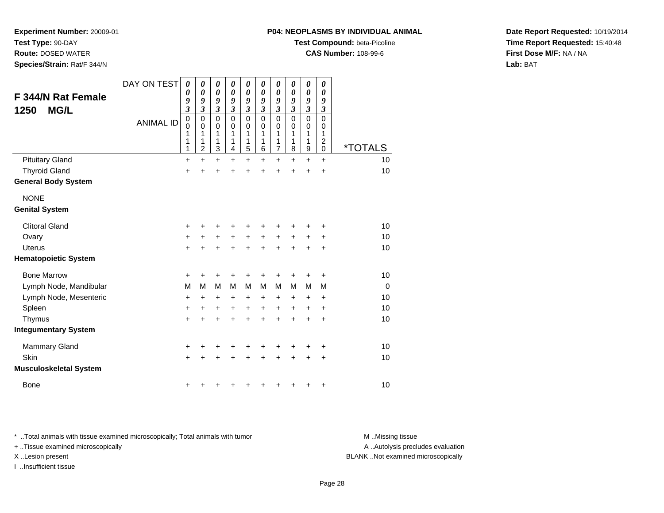**Test Type:** 90-DAY

**Route:** DOSED WATER

**Species/Strain:** Rat/F 344/N

#### **P04: NEOPLASMS BY INDIVIDUAL ANIMAL**

**Test Compound:** beta-Picoline

**CAS Number:** 108-99-6

**Date Report Requested:** 10/19/2014**Time Report Requested:** 15:40:48**First Dose M/F:** NA / NA**Lab:** BAT

| F 344/N Rat Female<br><b>MG/L</b><br>1250 | DAY ON TEST<br><b>ANIMAL ID</b> | 0<br>0<br>9<br>$\mathfrak{z}$<br>$\mathbf 0$<br>$\mathbf 0$<br>1<br>1<br>1 | 0<br>0<br>9<br>$\mathfrak{z}$<br>0<br>0<br>1<br>1<br>$\overline{c}$ | 0<br>$\boldsymbol{\theta}$<br>9<br>$\boldsymbol{\mathfrak{z}}$<br>$\mathbf 0$<br>$\mathbf 0$<br>1<br>1<br>3 | 0<br>0<br>9<br>$\mathfrak{z}$<br>0<br>0<br>1<br>1<br>4 | 0<br>$\boldsymbol{\theta}$<br>9<br>$\boldsymbol{\beta}$<br>$\mathbf 0$<br>0<br>1<br>1<br>$\overline{5}$ | 0<br>0<br>9<br>3<br>$\mathbf 0$<br>$\Omega$<br>1<br>1<br>6 | 0<br>$\boldsymbol{\theta}$<br>9<br>$\boldsymbol{\beta}$<br>$\mathbf 0$<br>0<br>1<br>1<br>$\overline{7}$ | 0<br>0<br>9<br>$\boldsymbol{\beta}$<br>$\overline{0}$<br>0<br>1<br>1<br>8 | $\boldsymbol{\theta}$<br>$\boldsymbol{\theta}$<br>9<br>$\boldsymbol{\mathfrak{z}}$<br>$\overline{0}$<br>0<br>1<br>1<br>$\boldsymbol{9}$ | 0<br>0<br>9<br>3<br>$\mathbf 0$<br>0<br>1<br>$\boldsymbol{2}$<br>0 | <i><b>*TOTALS</b></i> |
|-------------------------------------------|---------------------------------|----------------------------------------------------------------------------|---------------------------------------------------------------------|-------------------------------------------------------------------------------------------------------------|--------------------------------------------------------|---------------------------------------------------------------------------------------------------------|------------------------------------------------------------|---------------------------------------------------------------------------------------------------------|---------------------------------------------------------------------------|-----------------------------------------------------------------------------------------------------------------------------------------|--------------------------------------------------------------------|-----------------------|
| <b>Pituitary Gland</b>                    |                                 | $\ddot{}$                                                                  | $\ddot{}$                                                           | $\ddot{}$                                                                                                   | +                                                      | $\ddot{}$                                                                                               | +                                                          | $\ddot{}$                                                                                               | +                                                                         | $\ddot{}$                                                                                                                               | $\ddot{}$                                                          | 10                    |
| <b>Thyroid Gland</b>                      |                                 | $\ddot{}$                                                                  |                                                                     | $\ddot{}$                                                                                                   | ÷                                                      | $\ddot{}$                                                                                               | $\ddot{}$                                                  | $\ddot{}$                                                                                               | $\ddot{}$                                                                 | $\ddot{}$                                                                                                                               | $\ddot{}$                                                          | 10                    |
| <b>General Body System</b>                |                                 |                                                                            |                                                                     |                                                                                                             |                                                        |                                                                                                         |                                                            |                                                                                                         |                                                                           |                                                                                                                                         |                                                                    |                       |
| <b>NONE</b>                               |                                 |                                                                            |                                                                     |                                                                                                             |                                                        |                                                                                                         |                                                            |                                                                                                         |                                                                           |                                                                                                                                         |                                                                    |                       |
| <b>Genital System</b>                     |                                 |                                                                            |                                                                     |                                                                                                             |                                                        |                                                                                                         |                                                            |                                                                                                         |                                                                           |                                                                                                                                         |                                                                    |                       |
| <b>Clitoral Gland</b>                     |                                 | $\ddot{}$                                                                  | +                                                                   | +                                                                                                           | +                                                      | +                                                                                                       | +                                                          | +                                                                                                       | ٠                                                                         | +                                                                                                                                       | ÷                                                                  | 10                    |
| Ovary                                     |                                 | $\ddot{}$                                                                  | +                                                                   | $\ddot{}$                                                                                                   | $\ddot{}$                                              | $\ddot{}$                                                                                               | $\ddot{}$                                                  | $\ddot{}$                                                                                               | $\ddot{}$                                                                 | $\ddot{}$                                                                                                                               | $\ddot{}$                                                          | 10                    |
| <b>Uterus</b>                             |                                 | $+$                                                                        | $\ddot{}$                                                           | $+$                                                                                                         | $\ddot{}$                                              | $+$                                                                                                     | $\ddot{}$                                                  | $+$                                                                                                     | $\ddot{}$                                                                 | $\ddot{}$                                                                                                                               | $\ddot{}$                                                          | 10                    |
| <b>Hematopoietic System</b>               |                                 |                                                                            |                                                                     |                                                                                                             |                                                        |                                                                                                         |                                                            |                                                                                                         |                                                                           |                                                                                                                                         |                                                                    |                       |
| <b>Bone Marrow</b>                        |                                 | +                                                                          | +                                                                   | +                                                                                                           | +                                                      | +                                                                                                       | +                                                          | +                                                                                                       | +                                                                         | +                                                                                                                                       | +                                                                  | 10                    |
| Lymph Node, Mandibular                    |                                 | M                                                                          | M                                                                   | M                                                                                                           | M                                                      | M                                                                                                       | M                                                          | M                                                                                                       | M                                                                         | M                                                                                                                                       | M                                                                  | $\Omega$              |
| Lymph Node, Mesenteric                    |                                 | $\ddot{}$                                                                  | +                                                                   | +                                                                                                           | +                                                      | $\ddot{}$                                                                                               | +                                                          | $\ddot{}$                                                                                               | +                                                                         | $\ddot{}$                                                                                                                               | ÷                                                                  | 10                    |
| Spleen                                    |                                 | $\ddot{}$                                                                  | $\ddot{}$                                                           | $\ddot{}$                                                                                                   | $\ddot{}$                                              | $\ddot{}$                                                                                               | $\ddot{}$                                                  | $\ddot{}$                                                                                               | $\ddot{}$                                                                 | $\pm$                                                                                                                                   | $\ddot{}$                                                          | 10                    |
| Thymus                                    |                                 | $+$                                                                        | +                                                                   | $\ddot{}$                                                                                                   | ÷                                                      | $\ddot{}$                                                                                               | $\ddot{}$                                                  | $\ddot{}$                                                                                               | $\ddot{}$                                                                 | $\ddot{}$                                                                                                                               | $\ddot{}$                                                          | 10                    |
| <b>Integumentary System</b>               |                                 |                                                                            |                                                                     |                                                                                                             |                                                        |                                                                                                         |                                                            |                                                                                                         |                                                                           |                                                                                                                                         |                                                                    |                       |
| <b>Mammary Gland</b>                      |                                 | +                                                                          |                                                                     |                                                                                                             |                                                        | +                                                                                                       | +                                                          | +                                                                                                       |                                                                           | +                                                                                                                                       | +                                                                  | 10                    |
| Skin                                      |                                 | $+$                                                                        |                                                                     | $\ddot{}$                                                                                                   | $\ddot{}$                                              | $\ddot{}$                                                                                               | $\ddot{}$                                                  | $\ddot{}$                                                                                               | $\ddot{}$                                                                 | $\pm$                                                                                                                                   | +                                                                  | 10                    |
| <b>Musculoskeletal System</b>             |                                 |                                                                            |                                                                     |                                                                                                             |                                                        |                                                                                                         |                                                            |                                                                                                         |                                                                           |                                                                                                                                         |                                                                    |                       |
| <b>Bone</b>                               |                                 | +                                                                          |                                                                     |                                                                                                             |                                                        | +                                                                                                       | +                                                          | +                                                                                                       | +                                                                         | +                                                                                                                                       | $\ddot{}$                                                          | 10                    |

\* ..Total animals with tissue examined microscopically; Total animals with tumor **M** . Missing tissue M ..Missing tissue

+ ..Tissue examined microscopically

I ..Insufficient tissue